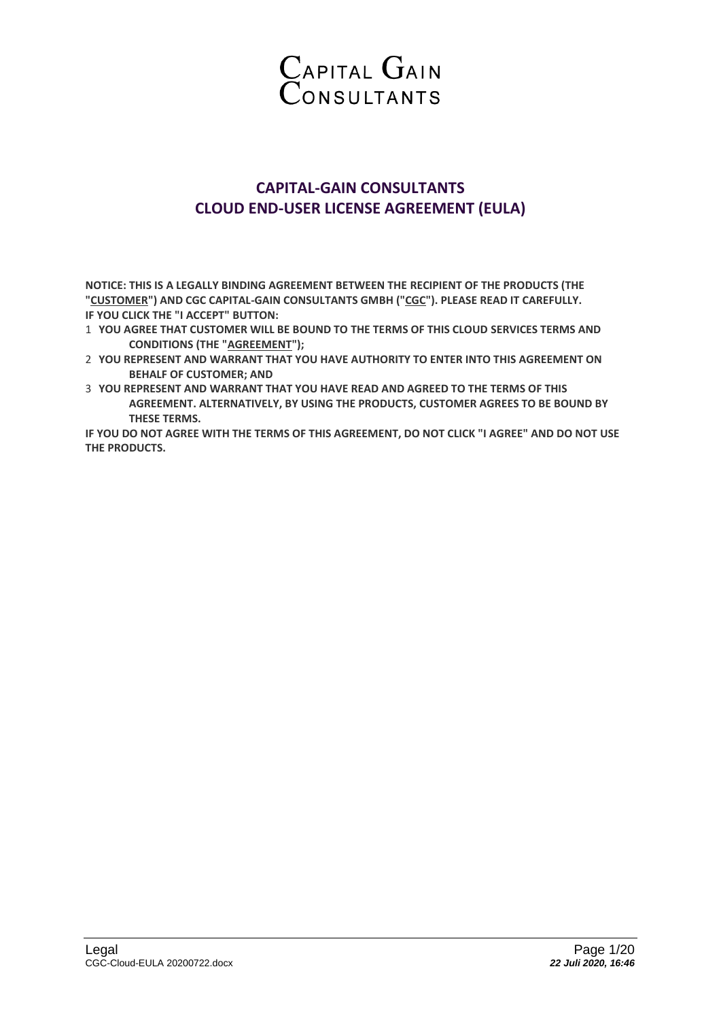

# **CAPITAL-GAIN CONSULTANTS CLOUD END-USER LICENSE AGREEMENT (EULA)**

**NOTICE: THIS IS A LEGALLY BINDING AGREEMENT BETWEEN THE RECIPIENT OF THE PRODUCTS (THE "CUSTOMER") AND CGC CAPITAL-GAIN CONSULTANTS GMBH ("CGC"). PLEASE READ IT CAREFULLY. IF YOU CLICK THE "I ACCEPT" BUTTON:**

- 1 **YOU AGREE THAT CUSTOMER WILL BE BOUND TO THE TERMS OF THIS CLOUD SERVICES TERMS AND CONDITIONS (THE "AGREEMENT");**
- 2 **YOU REPRESENT AND WARRANT THAT YOU HAVE AUTHORITY TO ENTER INTO THIS AGREEMENT ON BEHALF OF CUSTOMER; AND**
- 3 **YOU REPRESENT AND WARRANT THAT YOU HAVE READ AND AGREED TO THE TERMS OF THIS AGREEMENT. ALTERNATIVELY, BY USING THE PRODUCTS, CUSTOMER AGREES TO BE BOUND BY THESE TERMS.**

**IF YOU DO NOT AGREE WITH THE TERMS OF THIS AGREEMENT, DO NOT CLICK "I AGREE" AND DO NOT USE THE PRODUCTS.**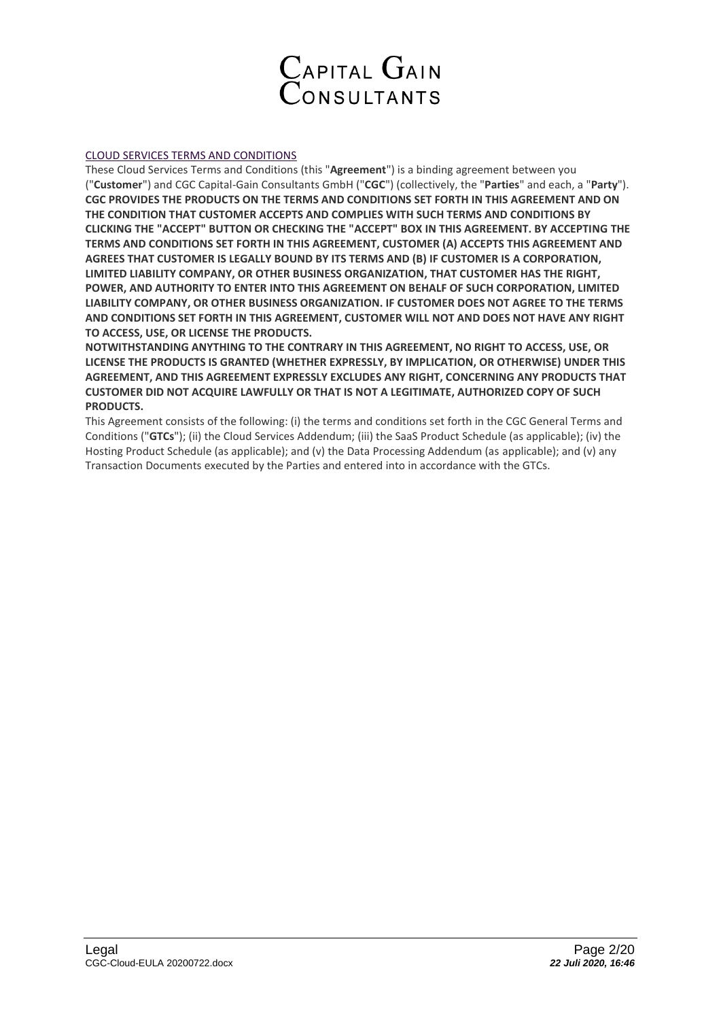

# CLOUD SERVICES TERMS AND CONDITIONS

These Cloud Services Terms and Conditions (this "**Agreement**") is a binding agreement between you ("**Customer**") and CGC Capital-Gain Consultants GmbH ("**CGC**") (collectively, the "**Parties**" and each, a "**Party**"). **CGC PROVIDES THE PRODUCTS ON THE TERMS AND CONDITIONS SET FORTH IN THIS AGREEMENT AND ON THE CONDITION THAT CUSTOMER ACCEPTS AND COMPLIES WITH SUCH TERMS AND CONDITIONS BY CLICKING THE "ACCEPT" BUTTON OR CHECKING THE "ACCEPT" BOX IN THIS AGREEMENT. BY ACCEPTING THE TERMS AND CONDITIONS SET FORTH IN THIS AGREEMENT, CUSTOMER (A) ACCEPTS THIS AGREEMENT AND AGREES THAT CUSTOMER IS LEGALLY BOUND BY ITS TERMS AND (B) IF CUSTOMER IS A CORPORATION, LIMITED LIABILITY COMPANY, OR OTHER BUSINESS ORGANIZATION, THAT CUSTOMER HAS THE RIGHT, POWER, AND AUTHORITY TO ENTER INTO THIS AGREEMENT ON BEHALF OF SUCH CORPORATION, LIMITED LIABILITY COMPANY, OR OTHER BUSINESS ORGANIZATION. IF CUSTOMER DOES NOT AGREE TO THE TERMS AND CONDITIONS SET FORTH IN THIS AGREEMENT, CUSTOMER WILL NOT AND DOES NOT HAVE ANY RIGHT TO ACCESS, USE, OR LICENSE THE PRODUCTS.**

**NOTWITHSTANDING ANYTHING TO THE CONTRARY IN THIS AGREEMENT, NO RIGHT TO ACCESS, USE, OR LICENSE THE PRODUCTS IS GRANTED (WHETHER EXPRESSLY, BY IMPLICATION, OR OTHERWISE) UNDER THIS AGREEMENT, AND THIS AGREEMENT EXPRESSLY EXCLUDES ANY RIGHT, CONCERNING ANY PRODUCTS THAT CUSTOMER DID NOT ACQUIRE LAWFULLY OR THAT IS NOT A LEGITIMATE, AUTHORIZED COPY OF SUCH PRODUCTS.**

This Agreement consists of the following: (i) the terms and conditions set forth in the CGC General Terms and Conditions ("**GTCs**"); (ii) the Cloud Services Addendum; (iii) the SaaS Product Schedule (as applicable); (iv) the Hosting Product Schedule (as applicable); and (v) the Data Processing Addendum (as applicable); and (v) any Transaction Documents executed by the Parties and entered into in accordance with the GTCs.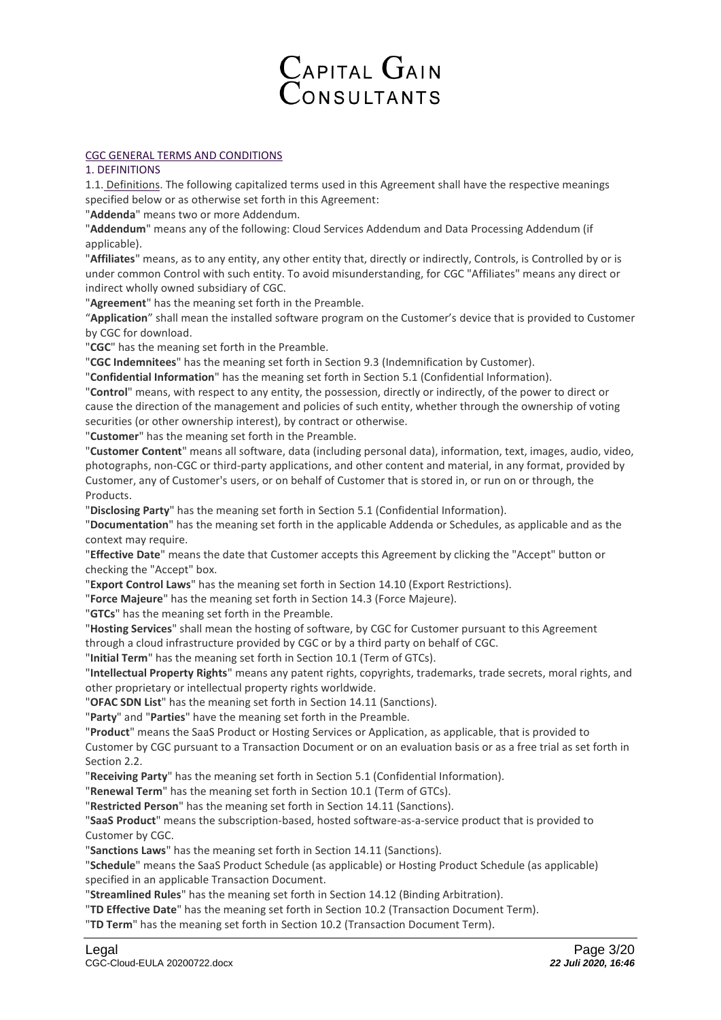# Capital Gain<br>Consultants

# CGC GENERAL TERMS AND CONDITIONS

# 1. DEFINITIONS

1.1. Definitions. The following capitalized terms used in this Agreement shall have the respective meanings specified below or as otherwise set forth in this Agreement:

"**Addenda**" means two or more Addendum.

"**Addendum**" means any of the following: Cloud Services Addendum and Data Processing Addendum (if applicable).

"**Affiliates**" means, as to any entity, any other entity that, directly or indirectly, Controls, is Controlled by or is under common Control with such entity. To avoid misunderstanding, for CGC "Affiliates" means any direct or indirect wholly owned subsidiary of CGC.

"**Agreement**" has the meaning set forth in the Preamble.

"**Application**" shall mean the installed software program on the Customer's device that is provided to Customer by CGC for download.

"**CGC**" has the meaning set forth in the Preamble.

"**CGC Indemnitees**" has the meaning set forth in Section 9.3 (Indemnification by Customer).

"**Confidential Information**" has the meaning set forth in Section 5.1 (Confidential Information).

"**Control**" means, with respect to any entity, the possession, directly or indirectly, of the power to direct or cause the direction of the management and policies of such entity, whether through the ownership of voting securities (or other ownership interest), by contract or otherwise.

"**Customer**" has the meaning set forth in the Preamble.

"**Customer Content**" means all software, data (including personal data), information, text, images, audio, video, photographs, non-CGC or third-party applications, and other content and material, in any format, provided by Customer, any of Customer's users, or on behalf of Customer that is stored in, or run on or through, the Products.

"**Disclosing Party**" has the meaning set forth in Section 5.1 (Confidential Information).

"**Documentation**" has the meaning set forth in the applicable Addenda or Schedules, as applicable and as the context may require.

"**Effective Date**" means the date that Customer accepts this Agreement by clicking the "Accept" button or checking the "Accept" box.

"**Export Control Laws**" has the meaning set forth in Section 14.10 (Export Restrictions).

"**Force Majeure**" has the meaning set forth in Section 14.3 (Force Majeure).

"**GTCs**" has the meaning set forth in the Preamble.

"**Hosting Services**" shall mean the hosting of software, by CGC for Customer pursuant to this Agreement through a cloud infrastructure provided by CGC or by a third party on behalf of CGC.

"**Initial Term**" has the meaning set forth in Section 10.1 (Term of GTCs).

"**Intellectual Property Rights**" means any patent rights, copyrights, trademarks, trade secrets, moral rights, and other proprietary or intellectual property rights worldwide.

"**OFAC SDN List**" has the meaning set forth in Section 14.11 (Sanctions).

"**Party**" and "**Parties**" have the meaning set forth in the Preamble.

"**Product**" means the SaaS Product or Hosting Services or Application, as applicable, that is provided to Customer by CGC pursuant to a Transaction Document or on an evaluation basis or as a free trial as set forth in Section 2.2.

"**Receiving Party**" has the meaning set forth in Section 5.1 (Confidential Information).

"**Renewal Term**" has the meaning set forth in Section 10.1 (Term of GTCs).

"**Restricted Person**" has the meaning set forth in Section 14.11 (Sanctions).

"**SaaS Product**" means the subscription-based, hosted software-as-a-service product that is provided to Customer by CGC.

"**Sanctions Laws**" has the meaning set forth in Section 14.11 (Sanctions).

"**Schedule**" means the SaaS Product Schedule (as applicable) or Hosting Product Schedule (as applicable) specified in an applicable Transaction Document.

"**Streamlined Rules**" has the meaning set forth in Section 14.12 (Binding Arbitration).

"**TD Effective Date**" has the meaning set forth in Section 10.2 (Transaction Document Term).

"**TD Term**" has the meaning set forth in Section 10.2 (Transaction Document Term).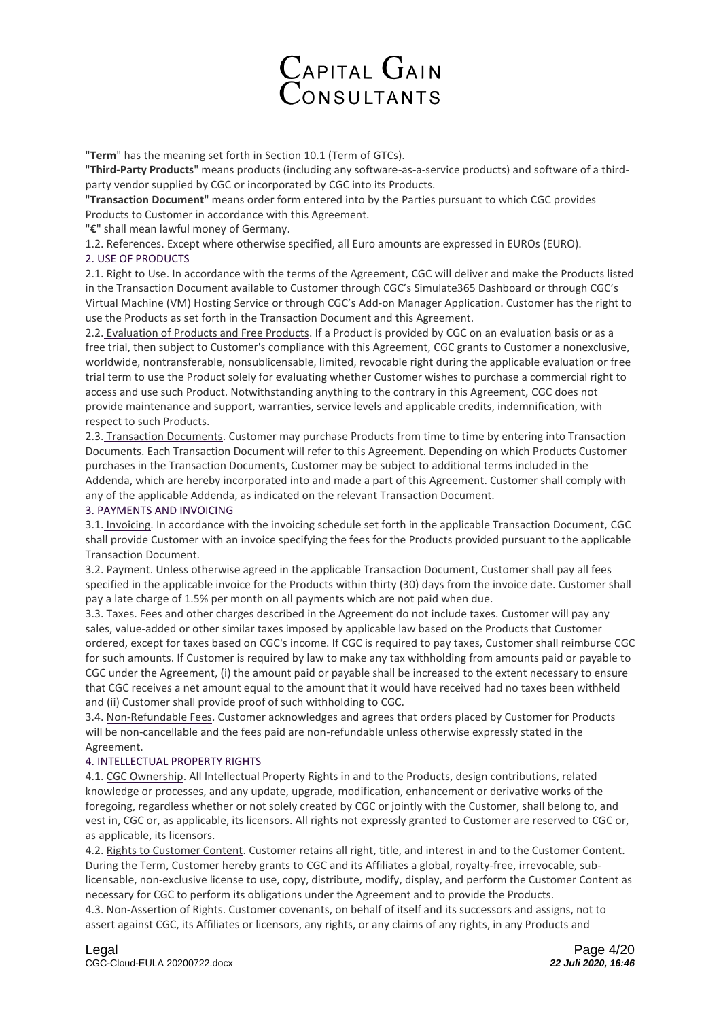

"**Term**" has the meaning set forth in Section 10.1 (Term of GTCs).

"**Third-Party Products**" means products (including any software-as-a-service products) and software of a thirdparty vendor supplied by CGC or incorporated by CGC into its Products.

"**Transaction Document**" means order form entered into by the Parties pursuant to which CGC provides Products to Customer in accordance with this Agreement.

"**€**" shall mean lawful money of Germany.

1.2. References. Except where otherwise specified, all Euro amounts are expressed in EUROs (EURO). 2. USE OF PRODUCTS

2.1. Right to Use. In accordance with the terms of the Agreement, CGC will deliver and make the Products listed in the Transaction Document available to Customer through CGC's Simulate365 Dashboard or through CGC's Virtual Machine (VM) Hosting Service or through CGC's Add-on Manager Application. Customer has the right to use the Products as set forth in the Transaction Document and this Agreement.

2.2. Evaluation of Products and Free Products. If a Product is provided by CGC on an evaluation basis or as a free trial, then subject to Customer's compliance with this Agreement, CGC grants to Customer a nonexclusive, worldwide, nontransferable, nonsublicensable, limited, revocable right during the applicable evaluation or free trial term to use the Product solely for evaluating whether Customer wishes to purchase a commercial right to access and use such Product. Notwithstanding anything to the contrary in this Agreement, CGC does not provide maintenance and support, warranties, service levels and applicable credits, indemnification, with respect to such Products.

2.3. Transaction Documents. Customer may purchase Products from time to time by entering into Transaction Documents. Each Transaction Document will refer to this Agreement. Depending on which Products Customer purchases in the Transaction Documents, Customer may be subject to additional terms included in the Addenda, which are hereby incorporated into and made a part of this Agreement. Customer shall comply with any of the applicable Addenda, as indicated on the relevant Transaction Document.

#### 3. PAYMENTS AND INVOICING

3.1. Invoicing. In accordance with the invoicing schedule set forth in the applicable Transaction Document, CGC shall provide Customer with an invoice specifying the fees for the Products provided pursuant to the applicable Transaction Document.

3.2. Payment. Unless otherwise agreed in the applicable Transaction Document, Customer shall pay all fees specified in the applicable invoice for the Products within thirty (30) days from the invoice date. Customer shall pay a late charge of 1.5% per month on all payments which are not paid when due.

3.3. Taxes. Fees and other charges described in the Agreement do not include taxes. Customer will pay any sales, value-added or other similar taxes imposed by applicable law based on the Products that Customer ordered, except for taxes based on CGC's income. If CGC is required to pay taxes, Customer shall reimburse CGC for such amounts. If Customer is required by law to make any tax withholding from amounts paid or payable to CGC under the Agreement, (i) the amount paid or payable shall be increased to the extent necessary to ensure that CGC receives a net amount equal to the amount that it would have received had no taxes been withheld and (ii) Customer shall provide proof of such withholding to CGC.

3.4. Non-Refundable Fees. Customer acknowledges and agrees that orders placed by Customer for Products will be non-cancellable and the fees paid are non-refundable unless otherwise expressly stated in the Agreement.

#### 4. INTELLECTUAL PROPERTY RIGHTS

4.1. CGC Ownership. All Intellectual Property Rights in and to the Products, design contributions, related knowledge or processes, and any update, upgrade, modification, enhancement or derivative works of the foregoing, regardless whether or not solely created by CGC or jointly with the Customer, shall belong to, and vest in, CGC or, as applicable, its licensors. All rights not expressly granted to Customer are reserved to CGC or, as applicable, its licensors.

4.2. Rights to Customer Content. Customer retains all right, title, and interest in and to the Customer Content. During the Term, Customer hereby grants to CGC and its Affiliates a global, royalty-free, irrevocable, sublicensable, non-exclusive license to use, copy, distribute, modify, display, and perform the Customer Content as necessary for CGC to perform its obligations under the Agreement and to provide the Products.

4.3. Non-Assertion of Rights. Customer covenants, on behalf of itself and its successors and assigns, not to assert against CGC, its Affiliates or licensors, any rights, or any claims of any rights, in any Products and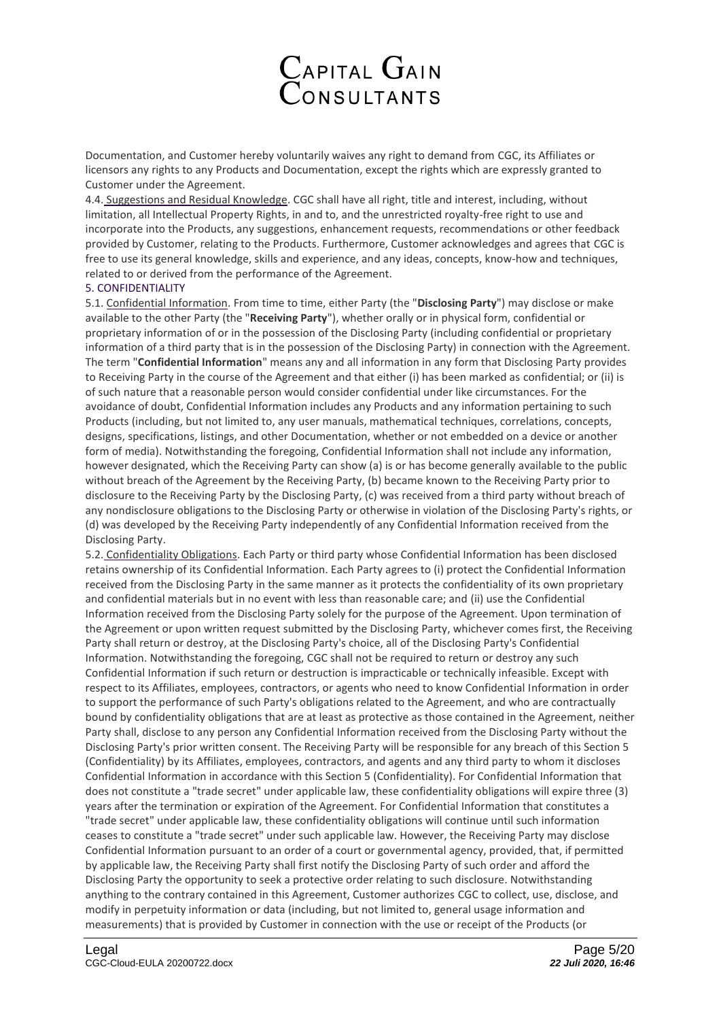

Documentation, and Customer hereby voluntarily waives any right to demand from CGC, its Affiliates or licensors any rights to any Products and Documentation, except the rights which are expressly granted to Customer under the Agreement.

4.4. Suggestions and Residual Knowledge. CGC shall have all right, title and interest, including, without limitation, all Intellectual Property Rights, in and to, and the unrestricted royalty-free right to use and incorporate into the Products, any suggestions, enhancement requests, recommendations or other feedback provided by Customer, relating to the Products. Furthermore, Customer acknowledges and agrees that CGC is free to use its general knowledge, skills and experience, and any ideas, concepts, know-how and techniques, related to or derived from the performance of the Agreement.

### 5. CONFIDENTIALITY

5.1. Confidential Information. From time to time, either Party (the "**Disclosing Party**") may disclose or make available to the other Party (the "**Receiving Party**"), whether orally or in physical form, confidential or proprietary information of or in the possession of the Disclosing Party (including confidential or proprietary information of a third party that is in the possession of the Disclosing Party) in connection with the Agreement. The term "**Confidential Information**" means any and all information in any form that Disclosing Party provides to Receiving Party in the course of the Agreement and that either (i) has been marked as confidential; or (ii) is of such nature that a reasonable person would consider confidential under like circumstances. For the avoidance of doubt, Confidential Information includes any Products and any information pertaining to such Products (including, but not limited to, any user manuals, mathematical techniques, correlations, concepts, designs, specifications, listings, and other Documentation, whether or not embedded on a device or another form of media). Notwithstanding the foregoing, Confidential Information shall not include any information, however designated, which the Receiving Party can show (a) is or has become generally available to the public without breach of the Agreement by the Receiving Party, (b) became known to the Receiving Party prior to disclosure to the Receiving Party by the Disclosing Party, (c) was received from a third party without breach of any nondisclosure obligations to the Disclosing Party or otherwise in violation of the Disclosing Party's rights, or (d) was developed by the Receiving Party independently of any Confidential Information received from the Disclosing Party.

5.2. Confidentiality Obligations. Each Party or third party whose Confidential Information has been disclosed retains ownership of its Confidential Information. Each Party agrees to (i) protect the Confidential Information received from the Disclosing Party in the same manner as it protects the confidentiality of its own proprietary and confidential materials but in no event with less than reasonable care; and (ii) use the Confidential Information received from the Disclosing Party solely for the purpose of the Agreement. Upon termination of the Agreement or upon written request submitted by the Disclosing Party, whichever comes first, the Receiving Party shall return or destroy, at the Disclosing Party's choice, all of the Disclosing Party's Confidential Information. Notwithstanding the foregoing, CGC shall not be required to return or destroy any such Confidential Information if such return or destruction is impracticable or technically infeasible. Except with respect to its Affiliates, employees, contractors, or agents who need to know Confidential Information in order to support the performance of such Party's obligations related to the Agreement, and who are contractually bound by confidentiality obligations that are at least as protective as those contained in the Agreement, neither Party shall, disclose to any person any Confidential Information received from the Disclosing Party without the Disclosing Party's prior written consent. The Receiving Party will be responsible for any breach of this Section 5 (Confidentiality) by its Affiliates, employees, contractors, and agents and any third party to whom it discloses Confidential Information in accordance with this Section 5 (Confidentiality). For Confidential Information that does not constitute a "trade secret" under applicable law, these confidentiality obligations will expire three (3) years after the termination or expiration of the Agreement. For Confidential Information that constitutes a "trade secret" under applicable law, these confidentiality obligations will continue until such information ceases to constitute a "trade secret" under such applicable law. However, the Receiving Party may disclose Confidential Information pursuant to an order of a court or governmental agency, provided, that, if permitted by applicable law, the Receiving Party shall first notify the Disclosing Party of such order and afford the Disclosing Party the opportunity to seek a protective order relating to such disclosure. Notwithstanding anything to the contrary contained in this Agreement, Customer authorizes CGC to collect, use, disclose, and modify in perpetuity information or data (including, but not limited to, general usage information and measurements) that is provided by Customer in connection with the use or receipt of the Products (or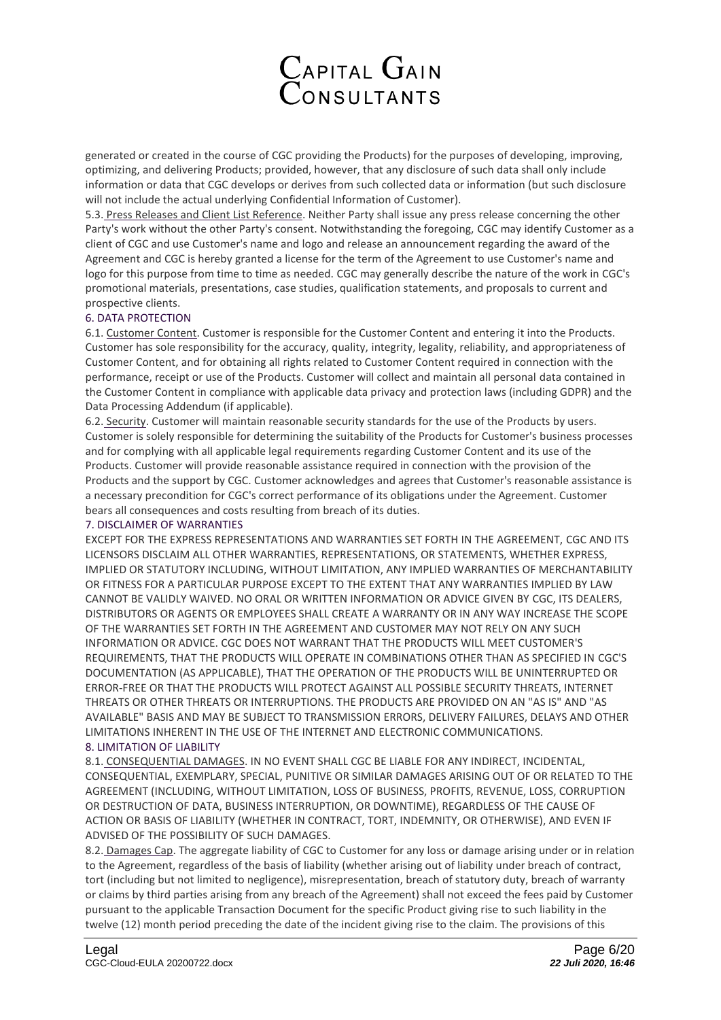

generated or created in the course of CGC providing the Products) for the purposes of developing, improving, optimizing, and delivering Products; provided, however, that any disclosure of such data shall only include information or data that CGC develops or derives from such collected data or information (but such disclosure will not include the actual underlying Confidential Information of Customer).

5.3. Press Releases and Client List Reference. Neither Party shall issue any press release concerning the other Party's work without the other Party's consent. Notwithstanding the foregoing, CGC may identify Customer as a client of CGC and use Customer's name and logo and release an announcement regarding the award of the Agreement and CGC is hereby granted a license for the term of the Agreement to use Customer's name and logo for this purpose from time to time as needed. CGC may generally describe the nature of the work in CGC's promotional materials, presentations, case studies, qualification statements, and proposals to current and prospective clients.

# 6. DATA PROTECTION

6.1. Customer Content. Customer is responsible for the Customer Content and entering it into the Products. Customer has sole responsibility for the accuracy, quality, integrity, legality, reliability, and appropriateness of Customer Content, and for obtaining all rights related to Customer Content required in connection with the performance, receipt or use of the Products. Customer will collect and maintain all personal data contained in the Customer Content in compliance with applicable data privacy and protection laws (including GDPR) and the Data Processing Addendum (if applicable).

6.2. Security. Customer will maintain reasonable security standards for the use of the Products by users. Customer is solely responsible for determining the suitability of the Products for Customer's business processes and for complying with all applicable legal requirements regarding Customer Content and its use of the Products. Customer will provide reasonable assistance required in connection with the provision of the Products and the support by CGC. Customer acknowledges and agrees that Customer's reasonable assistance is a necessary precondition for CGC's correct performance of its obligations under the Agreement. Customer bears all consequences and costs resulting from breach of its duties.

### 7. DISCLAIMER OF WARRANTIES

EXCEPT FOR THE EXPRESS REPRESENTATIONS AND WARRANTIES SET FORTH IN THE AGREEMENT, CGC AND ITS LICENSORS DISCLAIM ALL OTHER WARRANTIES, REPRESENTATIONS, OR STATEMENTS, WHETHER EXPRESS, IMPLIED OR STATUTORY INCLUDING, WITHOUT LIMITATION, ANY IMPLIED WARRANTIES OF MERCHANTABILITY OR FITNESS FOR A PARTICULAR PURPOSE EXCEPT TO THE EXTENT THAT ANY WARRANTIES IMPLIED BY LAW CANNOT BE VALIDLY WAIVED. NO ORAL OR WRITTEN INFORMATION OR ADVICE GIVEN BY CGC, ITS DEALERS, DISTRIBUTORS OR AGENTS OR EMPLOYEES SHALL CREATE A WARRANTY OR IN ANY WAY INCREASE THE SCOPE OF THE WARRANTIES SET FORTH IN THE AGREEMENT AND CUSTOMER MAY NOT RELY ON ANY SUCH INFORMATION OR ADVICE. CGC DOES NOT WARRANT THAT THE PRODUCTS WILL MEET CUSTOMER'S REQUIREMENTS, THAT THE PRODUCTS WILL OPERATE IN COMBINATIONS OTHER THAN AS SPECIFIED IN CGC'S DOCUMENTATION (AS APPLICABLE), THAT THE OPERATION OF THE PRODUCTS WILL BE UNINTERRUPTED OR ERROR-FREE OR THAT THE PRODUCTS WILL PROTECT AGAINST ALL POSSIBLE SECURITY THREATS, INTERNET THREATS OR OTHER THREATS OR INTERRUPTIONS. THE PRODUCTS ARE PROVIDED ON AN "AS IS" AND "AS AVAILABLE" BASIS AND MAY BE SUBJECT TO TRANSMISSION ERRORS, DELIVERY FAILURES, DELAYS AND OTHER LIMITATIONS INHERENT IN THE USE OF THE INTERNET AND ELECTRONIC COMMUNICATIONS.

# 8. LIMITATION OF LIABILITY

8.1. CONSEQUENTIAL DAMAGES. IN NO EVENT SHALL CGC BE LIABLE FOR ANY INDIRECT, INCIDENTAL, CONSEQUENTIAL, EXEMPLARY, SPECIAL, PUNITIVE OR SIMILAR DAMAGES ARISING OUT OF OR RELATED TO THE AGREEMENT (INCLUDING, WITHOUT LIMITATION, LOSS OF BUSINESS, PROFITS, REVENUE, LOSS, CORRUPTION OR DESTRUCTION OF DATA, BUSINESS INTERRUPTION, OR DOWNTIME), REGARDLESS OF THE CAUSE OF ACTION OR BASIS OF LIABILITY (WHETHER IN CONTRACT, TORT, INDEMNITY, OR OTHERWISE), AND EVEN IF ADVISED OF THE POSSIBILITY OF SUCH DAMAGES.

8.2. Damages Cap. The aggregate liability of CGC to Customer for any loss or damage arising under or in relation to the Agreement, regardless of the basis of liability (whether arising out of liability under breach of contract, tort (including but not limited to negligence), misrepresentation, breach of statutory duty, breach of warranty or claims by third parties arising from any breach of the Agreement) shall not exceed the fees paid by Customer pursuant to the applicable Transaction Document for the specific Product giving rise to such liability in the twelve (12) month period preceding the date of the incident giving rise to the claim. The provisions of this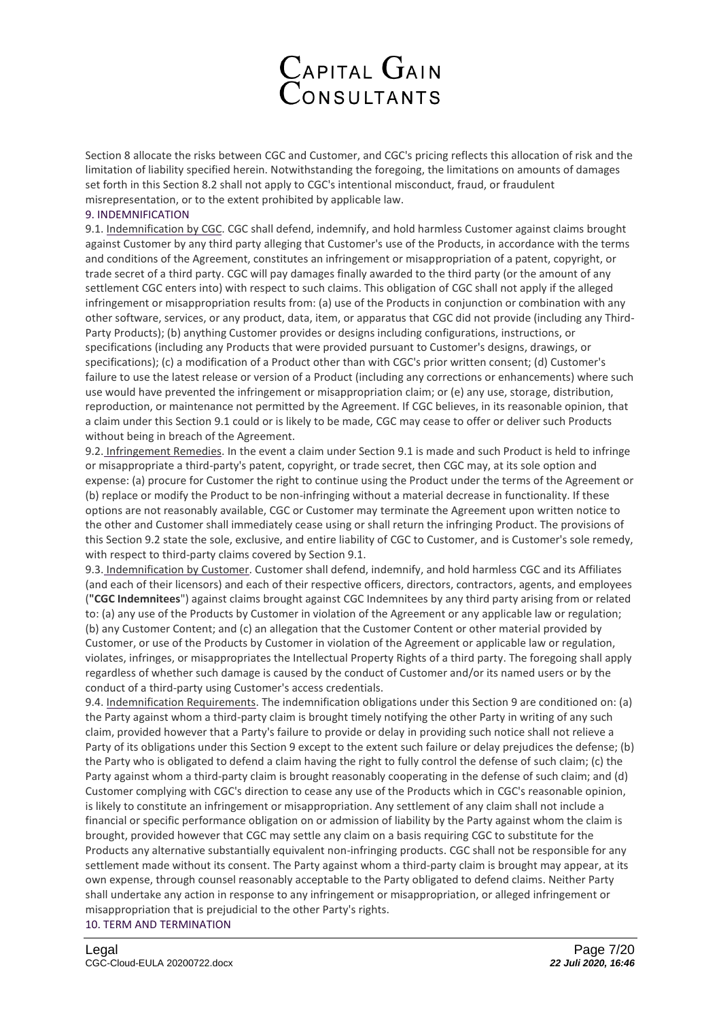

Section 8 allocate the risks between CGC and Customer, and CGC's pricing reflects this allocation of risk and the limitation of liability specified herein. Notwithstanding the foregoing, the limitations on amounts of damages set forth in this Section 8.2 shall not apply to CGC's intentional misconduct, fraud, or fraudulent misrepresentation, or to the extent prohibited by applicable law.

### 9. INDEMNIFICATION

9.1. Indemnification by CGC. CGC shall defend, indemnify, and hold harmless Customer against claims brought against Customer by any third party alleging that Customer's use of the Products, in accordance with the terms and conditions of the Agreement, constitutes an infringement or misappropriation of a patent, copyright, or trade secret of a third party. CGC will pay damages finally awarded to the third party (or the amount of any settlement CGC enters into) with respect to such claims. This obligation of CGC shall not apply if the alleged infringement or misappropriation results from: (a) use of the Products in conjunction or combination with any other software, services, or any product, data, item, or apparatus that CGC did not provide (including any Third-Party Products); (b) anything Customer provides or designs including configurations, instructions, or specifications (including any Products that were provided pursuant to Customer's designs, drawings, or specifications); (c) a modification of a Product other than with CGC's prior written consent; (d) Customer's failure to use the latest release or version of a Product (including any corrections or enhancements) where such use would have prevented the infringement or misappropriation claim; or (e) any use, storage, distribution, reproduction, or maintenance not permitted by the Agreement. If CGC believes, in its reasonable opinion, that a claim under this Section 9.1 could or is likely to be made, CGC may cease to offer or deliver such Products without being in breach of the Agreement.

9.2. Infringement Remedies. In the event a claim under Section 9.1 is made and such Product is held to infringe or misappropriate a third-party's patent, copyright, or trade secret, then CGC may, at its sole option and expense: (a) procure for Customer the right to continue using the Product under the terms of the Agreement or (b) replace or modify the Product to be non-infringing without a material decrease in functionality. If these options are not reasonably available, CGC or Customer may terminate the Agreement upon written notice to the other and Customer shall immediately cease using or shall return the infringing Product. The provisions of this Section 9.2 state the sole, exclusive, and entire liability of CGC to Customer, and is Customer's sole remedy, with respect to third-party claims covered by Section 9.1.

9.3. Indemnification by Customer. Customer shall defend, indemnify, and hold harmless CGC and its Affiliates (and each of their licensors) and each of their respective officers, directors, contractors, agents, and employees (**"CGC Indemnitees**") against claims brought against CGC Indemnitees by any third party arising from or related to: (a) any use of the Products by Customer in violation of the Agreement or any applicable law or regulation; (b) any Customer Content; and (c) an allegation that the Customer Content or other material provided by Customer, or use of the Products by Customer in violation of the Agreement or applicable law or regulation, violates, infringes, or misappropriates the Intellectual Property Rights of a third party. The foregoing shall apply regardless of whether such damage is caused by the conduct of Customer and/or its named users or by the conduct of a third-party using Customer's access credentials.

9.4. Indemnification Requirements. The indemnification obligations under this Section 9 are conditioned on: (a) the Party against whom a third-party claim is brought timely notifying the other Party in writing of any such claim, provided however that a Party's failure to provide or delay in providing such notice shall not relieve a Party of its obligations under this Section 9 except to the extent such failure or delay prejudices the defense; (b) the Party who is obligated to defend a claim having the right to fully control the defense of such claim; (c) the Party against whom a third-party claim is brought reasonably cooperating in the defense of such claim; and (d) Customer complying with CGC's direction to cease any use of the Products which in CGC's reasonable opinion, is likely to constitute an infringement or misappropriation. Any settlement of any claim shall not include a financial or specific performance obligation on or admission of liability by the Party against whom the claim is brought, provided however that CGC may settle any claim on a basis requiring CGC to substitute for the Products any alternative substantially equivalent non-infringing products. CGC shall not be responsible for any settlement made without its consent. The Party against whom a third-party claim is brought may appear, at its own expense, through counsel reasonably acceptable to the Party obligated to defend claims. Neither Party shall undertake any action in response to any infringement or misappropriation, or alleged infringement or misappropriation that is prejudicial to the other Party's rights.

10. TERM AND TERMINATION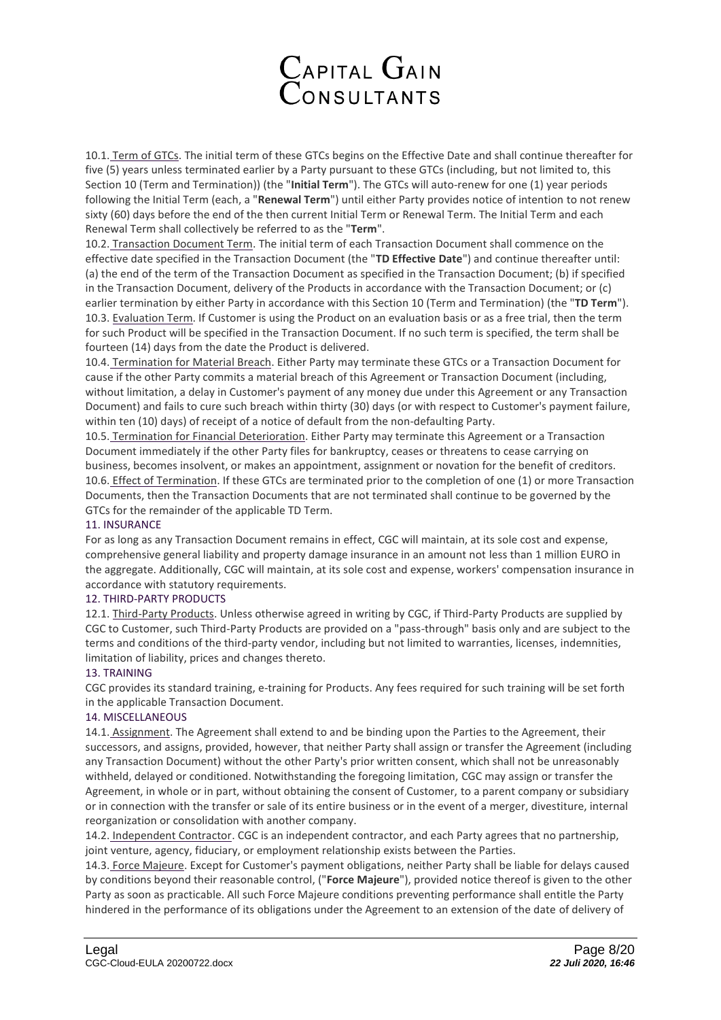

10.1. Term of GTCs. The initial term of these GTCs begins on the Effective Date and shall continue thereafter for five (5) years unless terminated earlier by a Party pursuant to these GTCs (including, but not limited to, this Section 10 (Term and Termination)) (the "**Initial Term**"). The GTCs will auto-renew for one (1) year periods following the Initial Term (each, a "**Renewal Term**") until either Party provides notice of intention to not renew sixty (60) days before the end of the then current Initial Term or Renewal Term. The Initial Term and each Renewal Term shall collectively be referred to as the "**Term**".

10.2. Transaction Document Term. The initial term of each Transaction Document shall commence on the effective date specified in the Transaction Document (the "**TD Effective Date**") and continue thereafter until: (a) the end of the term of the Transaction Document as specified in the Transaction Document; (b) if specified in the Transaction Document, delivery of the Products in accordance with the Transaction Document; or (c) earlier termination by either Party in accordance with this Section 10 (Term and Termination) (the "**TD Term**"). 10.3. Evaluation Term. If Customer is using the Product on an evaluation basis or as a free trial, then the term for such Product will be specified in the Transaction Document. If no such term is specified, the term shall be fourteen (14) days from the date the Product is delivered.

10.4. Termination for Material Breach. Either Party may terminate these GTCs or a Transaction Document for cause if the other Party commits a material breach of this Agreement or Transaction Document (including, without limitation, a delay in Customer's payment of any money due under this Agreement or any Transaction Document) and fails to cure such breach within thirty (30) days (or with respect to Customer's payment failure, within ten (10) days) of receipt of a notice of default from the non-defaulting Party.

10.5. Termination for Financial Deterioration. Either Party may terminate this Agreement or a Transaction Document immediately if the other Party files for bankruptcy, ceases or threatens to cease carrying on business, becomes insolvent, or makes an appointment, assignment or novation for the benefit of creditors. 10.6. Effect of Termination. If these GTCs are terminated prior to the completion of one (1) or more Transaction Documents, then the Transaction Documents that are not terminated shall continue to be governed by the GTCs for the remainder of the applicable TD Term.

# 11. INSURANCE

For as long as any Transaction Document remains in effect, CGC will maintain, at its sole cost and expense, comprehensive general liability and property damage insurance in an amount not less than 1 million EURO in the aggregate. Additionally, CGC will maintain, at its sole cost and expense, workers' compensation insurance in accordance with statutory requirements.

### 12. THIRD-PARTY PRODUCTS

12.1. Third-Party Products. Unless otherwise agreed in writing by CGC, if Third-Party Products are supplied by CGC to Customer, such Third-Party Products are provided on a "pass-through" basis only and are subject to the terms and conditions of the third-party vendor, including but not limited to warranties, licenses, indemnities, limitation of liability, prices and changes thereto.

### 13. TRAINING

CGC provides its standard training, e-training for Products. Any fees required for such training will be set forth in the applicable Transaction Document.

### 14. MISCELLANEOUS

14.1. Assignment. The Agreement shall extend to and be binding upon the Parties to the Agreement, their successors, and assigns, provided, however, that neither Party shall assign or transfer the Agreement (including any Transaction Document) without the other Party's prior written consent, which shall not be unreasonably withheld, delayed or conditioned. Notwithstanding the foregoing limitation, CGC may assign or transfer the Agreement, in whole or in part, without obtaining the consent of Customer, to a parent company or subsidiary or in connection with the transfer or sale of its entire business or in the event of a merger, divestiture, internal reorganization or consolidation with another company.

14.2. Independent Contractor. CGC is an independent contractor, and each Party agrees that no partnership, joint venture, agency, fiduciary, or employment relationship exists between the Parties.

14.3. Force Majeure. Except for Customer's payment obligations, neither Party shall be liable for delays caused by conditions beyond their reasonable control, ("**Force Majeure**"), provided notice thereof is given to the other Party as soon as practicable. All such Force Majeure conditions preventing performance shall entitle the Party hindered in the performance of its obligations under the Agreement to an extension of the date of delivery of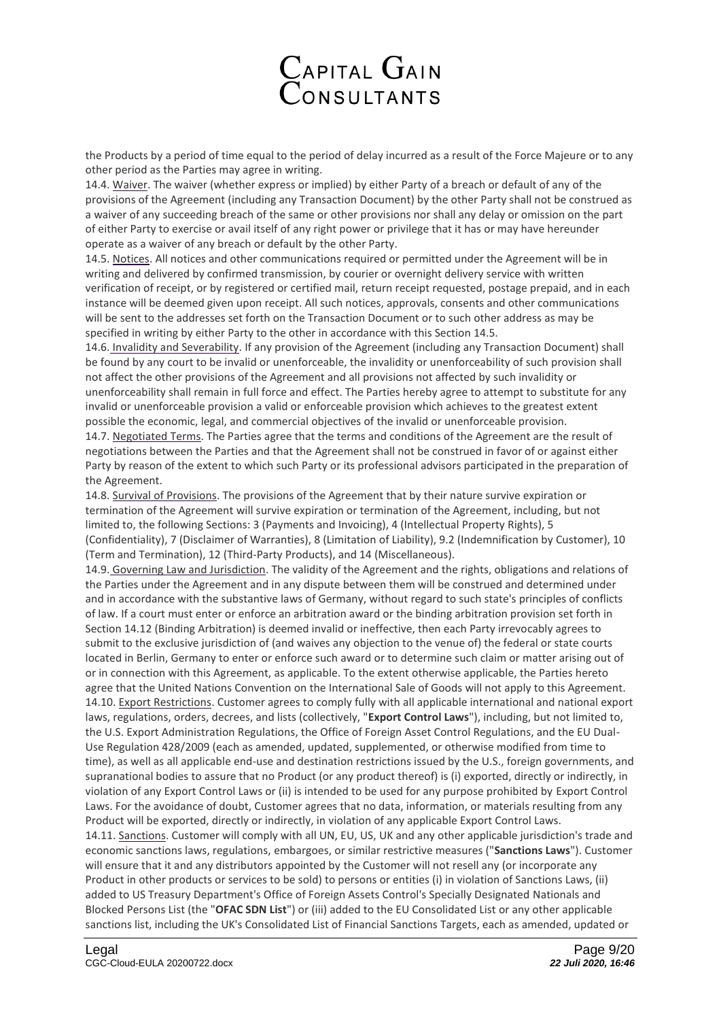

the Products by a period of time equal to the period of delay incurred as a result of the Force Majeure or to any other period as the Parties may agree in writing.

14.4. Waiver. The waiver (whether express or implied) by either Party of a breach or default of any of the provisions of the Agreement (including any Transaction Document) by the other Party shall not be construed as a waiver of any succeeding breach of the same or other provisions nor shall any delay or omission on the part of either Party to exercise or avail itself of any right power or privilege that it has or may have hereunder operate as a waiver of any breach or default by the other Party.

14.5. Notices. All notices and other communications required or permitted under the Agreement will be in writing and delivered by confirmed transmission, by courier or overnight delivery service with written verification of receipt, or by registered or certified mail, return receipt requested, postage prepaid, and in each instance will be deemed given upon receipt. All such notices, approvals, consents and other communications will be sent to the addresses set forth on the Transaction Document or to such other address as may be specified in writing by either Party to the other in accordance with this Section 14.5.

14.6. Invalidity and Severability. If any provision of the Agreement (including any Transaction Document) shall be found by any court to be invalid or unenforceable, the invalidity or unenforceability of such provision shall not affect the other provisions of the Agreement and all provisions not affected by such invalidity or unenforceability shall remain in full force and effect. The Parties hereby agree to attempt to substitute for any invalid or unenforceable provision a valid or enforceable provision which achieves to the greatest extent possible the economic, legal, and commercial objectives of the invalid or unenforceable provision. 14.7. Negotiated Terms. The Parties agree that the terms and conditions of the Agreement are the result of negotiations between the Parties and that the Agreement shall not be construed in favor of or against either Party by reason of the extent to which such Party or its professional advisors participated in the preparation of the Agreement.

14.8. Survival of Provisions. The provisions of the Agreement that by their nature survive expiration or termination of the Agreement will survive expiration or termination of the Agreement, including, but not limited to, the following Sections: 3 (Payments and Invoicing), 4 (Intellectual Property Rights), 5 (Confidentiality), 7 (Disclaimer of Warranties), 8 (Limitation of Liability), 9.2 (Indemnification by Customer), 10 (Term and Termination), 12 (Third-Party Products), and 14 (Miscellaneous).

14.9. Governing Law and Jurisdiction. The validity of the Agreement and the rights, obligations and relations of the Parties under the Agreement and in any dispute between them will be construed and determined under and in accordance with the substantive laws of Germany, without regard to such state's principles of conflicts of law. If a court must enter or enforce an arbitration award or the binding arbitration provision set forth in Section 14.12 (Binding Arbitration) is deemed invalid or ineffective, then each Party irrevocably agrees to submit to the exclusive jurisdiction of (and waives any objection to the venue of) the federal or state courts located in Berlin, Germany to enter or enforce such award or to determine such claim or matter arising out of or in connection with this Agreement, as applicable. To the extent otherwise applicable, the Parties hereto agree that the United Nations Convention on the International Sale of Goods will not apply to this Agreement. 14.10. Export Restrictions. Customer agrees to comply fully with all applicable international and national export laws, regulations, orders, decrees, and lists (collectively, "**Export Control Laws**"), including, but not limited to, the U.S. Export Administration Regulations, the Office of Foreign Asset Control Regulations, and the EU Dual-Use Regulation 428/2009 (each as amended, updated, supplemented, or otherwise modified from time to time), as well as all applicable end-use and destination restrictions issued by the U.S., foreign governments, and supranational bodies to assure that no Product (or any product thereof) is (i) exported, directly or indirectly, in violation of any Export Control Laws or (ii) is intended to be used for any purpose prohibited by Export Control Laws. For the avoidance of doubt, Customer agrees that no data, information, or materials resulting from any Product will be exported, directly or indirectly, in violation of any applicable Export Control Laws. 14.11. Sanctions. Customer will comply with all UN, EU, US, UK and any other applicable jurisdiction's trade and economic sanctions laws, regulations, embargoes, or similar restrictive measures ("**Sanctions Laws**"). Customer will ensure that it and any distributors appointed by the Customer will not resell any (or incorporate any

Product in other products or services to be sold) to persons or entities (i) in violation of Sanctions Laws, (ii) added to US Treasury Department's Office of Foreign Assets Control's Specially Designated Nationals and Blocked Persons List (the "**OFAC SDN List**") or (iii) added to the EU Consolidated List or any other applicable sanctions list, including the UK's Consolidated List of Financial Sanctions Targets, each as amended, updated or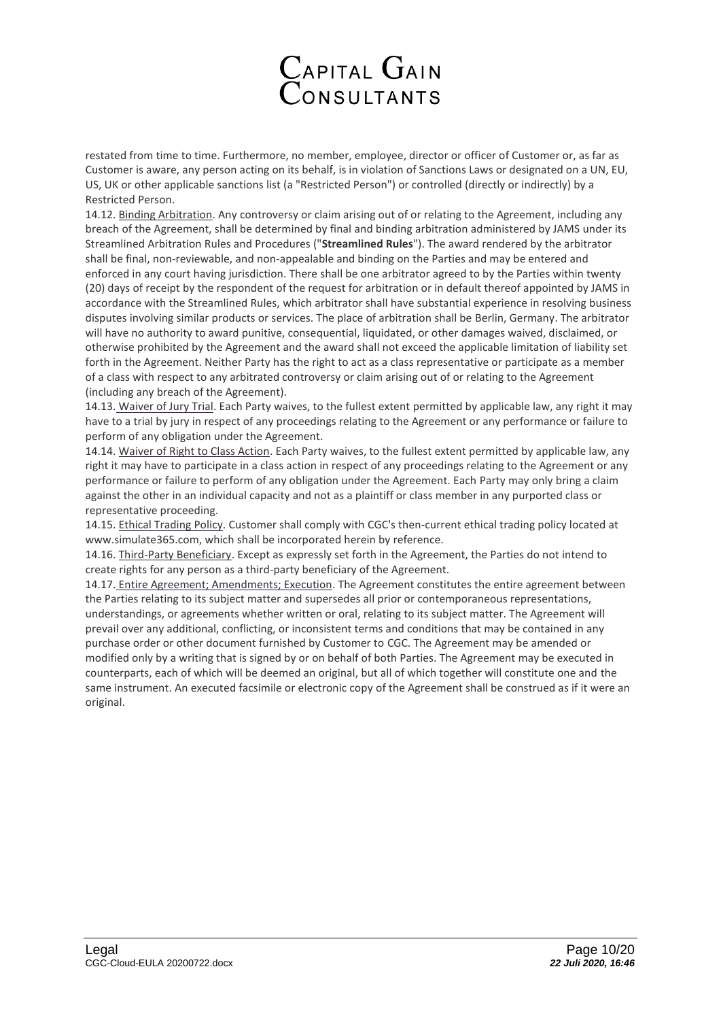

restated from time to time. Furthermore, no member, employee, director or officer of Customer or, as far as Customer is aware, any person acting on its behalf, is in violation of Sanctions Laws or designated on a UN, EU, US, UK or other applicable sanctions list (a "Restricted Person") or controlled (directly or indirectly) by a Restricted Person.

14.12. Binding Arbitration. Any controversy or claim arising out of or relating to the Agreement, including any breach of the Agreement, shall be determined by final and binding arbitration administered by JAMS under its Streamlined Arbitration Rules and Procedures ("**Streamlined Rules**"). The award rendered by the arbitrator shall be final, non-reviewable, and non-appealable and binding on the Parties and may be entered and enforced in any court having jurisdiction. There shall be one arbitrator agreed to by the Parties within twenty (20) days of receipt by the respondent of the request for arbitration or in default thereof appointed by JAMS in accordance with the Streamlined Rules, which arbitrator shall have substantial experience in resolving business disputes involving similar products or services. The place of arbitration shall be Berlin, Germany. The arbitrator will have no authority to award punitive, consequential, liquidated, or other damages waived, disclaimed, or otherwise prohibited by the Agreement and the award shall not exceed the applicable limitation of liability set forth in the Agreement. Neither Party has the right to act as a class representative or participate as a member of a class with respect to any arbitrated controversy or claim arising out of or relating to the Agreement (including any breach of the Agreement).

14.13. Waiver of Jury Trial. Each Party waives, to the fullest extent permitted by applicable law, any right it may have to a trial by jury in respect of any proceedings relating to the Agreement or any performance or failure to perform of any obligation under the Agreement.

14.14. Waiver of Right to Class Action. Each Party waives, to the fullest extent permitted by applicable law, any right it may have to participate in a class action in respect of any proceedings relating to the Agreement or any performance or failure to perform of any obligation under the Agreement. Each Party may only bring a claim against the other in an individual capacity and not as a plaintiff or class member in any purported class or representative proceeding.

14.15. Ethical Trading Policy. Customer shall comply with CGC's then-current ethical trading policy located at www.simulate365.com, which shall be incorporated herein by reference.

14.16. Third-Party Beneficiary. Except as expressly set forth in the Agreement, the Parties do not intend to create rights for any person as a third-party beneficiary of the Agreement.

14.17. Entire Agreement; Amendments; Execution. The Agreement constitutes the entire agreement between the Parties relating to its subject matter and supersedes all prior or contemporaneous representations, understandings, or agreements whether written or oral, relating to its subject matter. The Agreement will prevail over any additional, conflicting, or inconsistent terms and conditions that may be contained in any purchase order or other document furnished by Customer to CGC. The Agreement may be amended or modified only by a writing that is signed by or on behalf of both Parties. The Agreement may be executed in counterparts, each of which will be deemed an original, but all of which together will constitute one and the same instrument. An executed facsimile or electronic copy of the Agreement shall be construed as if it were an original.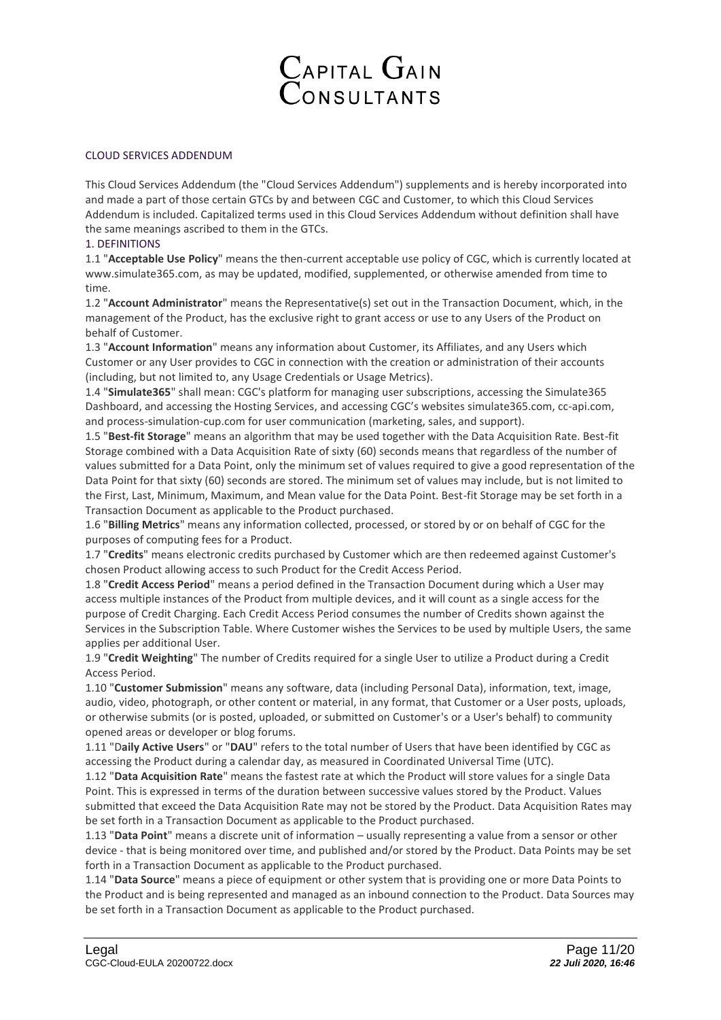

# CLOUD SERVICES ADDENDUM

This Cloud Services Addendum (the "Cloud Services Addendum") supplements and is hereby incorporated into and made a part of those certain GTCs by and between CGC and Customer, to which this Cloud Services Addendum is included. Capitalized terms used in this Cloud Services Addendum without definition shall have the same meanings ascribed to them in the GTCs.

#### 1. DEFINITIONS

1.1 "**Acceptable Use Policy**" means the then-current acceptable use policy of CGC, which is currently located at www.simulate365.com, as may be updated, modified, supplemented, or otherwise amended from time to time.

1.2 "**Account Administrator**" means the Representative(s) set out in the Transaction Document, which, in the management of the Product, has the exclusive right to grant access or use to any Users of the Product on behalf of Customer.

1.3 "**Account Information**" means any information about Customer, its Affiliates, and any Users which Customer or any User provides to CGC in connection with the creation or administration of their accounts (including, but not limited to, any Usage Credentials or Usage Metrics).

1.4 "**Simulate365**" shall mean: CGC's platform for managing user subscriptions, accessing the Simulate365 Dashboard, and accessing the Hosting Services, and accessing CGC's websites simulate365.com, cc-api.com, and process-simulation-cup.com for user communication (marketing, sales, and support).

1.5 "**Best-fit Storage**" means an algorithm that may be used together with the Data Acquisition Rate. Best-fit Storage combined with a Data Acquisition Rate of sixty (60) seconds means that regardless of the number of values submitted for a Data Point, only the minimum set of values required to give a good representation of the Data Point for that sixty (60) seconds are stored. The minimum set of values may include, but is not limited to the First, Last, Minimum, Maximum, and Mean value for the Data Point. Best-fit Storage may be set forth in a Transaction Document as applicable to the Product purchased.

1.6 "**Billing Metrics**" means any information collected, processed, or stored by or on behalf of CGC for the purposes of computing fees for a Product.

1.7 "**Credits**" means electronic credits purchased by Customer which are then redeemed against Customer's chosen Product allowing access to such Product for the Credit Access Period.

1.8 "**Credit Access Period**" means a period defined in the Transaction Document during which a User may access multiple instances of the Product from multiple devices, and it will count as a single access for the purpose of Credit Charging. Each Credit Access Period consumes the number of Credits shown against the Services in the Subscription Table. Where Customer wishes the Services to be used by multiple Users, the same applies per additional User.

1.9 "**Credit Weighting**" The number of Credits required for a single User to utilize a Product during a Credit Access Period.

1.10 "**Customer Submission**" means any software, data (including Personal Data), information, text, image, audio, video, photograph, or other content or material, in any format, that Customer or a User posts, uploads, or otherwise submits (or is posted, uploaded, or submitted on Customer's or a User's behalf) to community opened areas or developer or blog forums.

1.11 "D**aily Active Users**" or "**DAU**" refers to the total number of Users that have been identified by CGC as accessing the Product during a calendar day, as measured in Coordinated Universal Time (UTC).

1.12 "**Data Acquisition Rate**" means the fastest rate at which the Product will store values for a single Data Point. This is expressed in terms of the duration between successive values stored by the Product. Values submitted that exceed the Data Acquisition Rate may not be stored by the Product. Data Acquisition Rates may be set forth in a Transaction Document as applicable to the Product purchased.

1.13 "**Data Point**" means a discrete unit of information – usually representing a value from a sensor or other device - that is being monitored over time, and published and/or stored by the Product. Data Points may be set forth in a Transaction Document as applicable to the Product purchased.

1.14 "**Data Source**" means a piece of equipment or other system that is providing one or more Data Points to the Product and is being represented and managed as an inbound connection to the Product. Data Sources may be set forth in a Transaction Document as applicable to the Product purchased.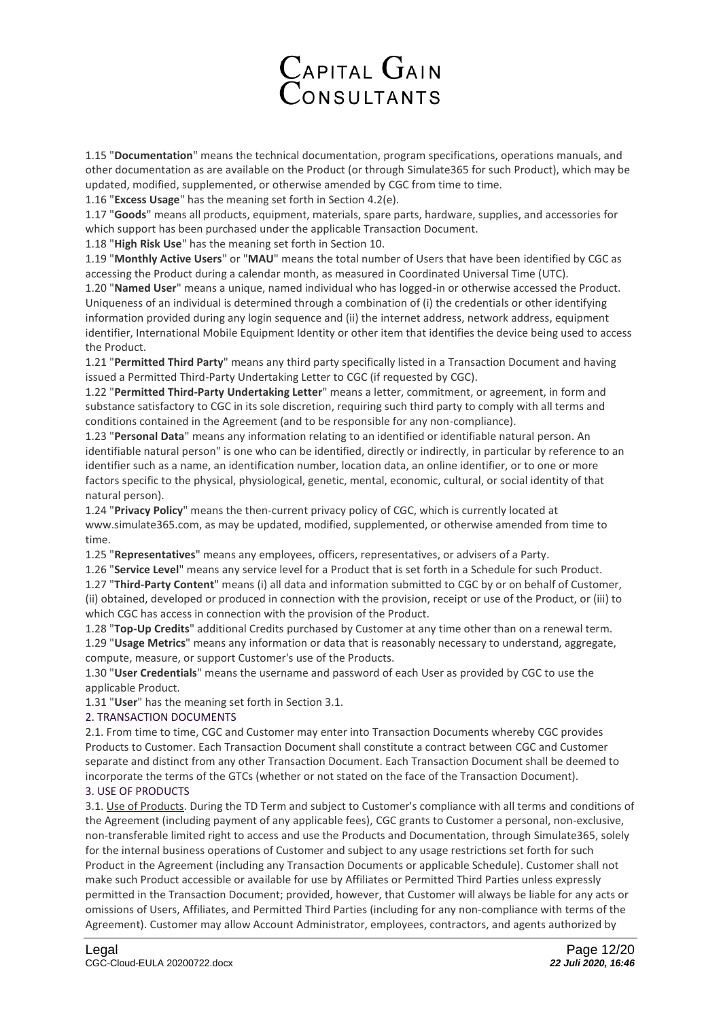

1.15 "**Documentation**" means the technical documentation, program specifications, operations manuals, and other documentation as are available on the Product (or through Simulate365 for such Product), which may be updated, modified, supplemented, or otherwise amended by CGC from time to time.

1.16 "**Excess Usage**" has the meaning set forth in Section 4.2(e).

1.17 "**Goods**" means all products, equipment, materials, spare parts, hardware, supplies, and accessories for which support has been purchased under the applicable Transaction Document.

1.18 "**High Risk Use**" has the meaning set forth in Section 10.

1.19 "**Monthly Active Users**" or "**MAU**" means the total number of Users that have been identified by CGC as accessing the Product during a calendar month, as measured in Coordinated Universal Time (UTC).

1.20 "**Named User**" means a unique, named individual who has logged-in or otherwise accessed the Product. Uniqueness of an individual is determined through a combination of (i) the credentials or other identifying information provided during any login sequence and (ii) the internet address, network address, equipment identifier, International Mobile Equipment Identity or other item that identifies the device being used to access the Product.

1.21 "**Permitted Third Party**" means any third party specifically listed in a Transaction Document and having issued a Permitted Third-Party Undertaking Letter to CGC (if requested by CGC).

1.22 "**Permitted Third-Party Undertaking Letter**" means a letter, commitment, or agreement, in form and substance satisfactory to CGC in its sole discretion, requiring such third party to comply with all terms and conditions contained in the Agreement (and to be responsible for any non-compliance).

1.23 "**Personal Data**" means any information relating to an identified or identifiable natural person. An identifiable natural person" is one who can be identified, directly or indirectly, in particular by reference to an identifier such as a name, an identification number, location data, an online identifier, or to one or more factors specific to the physical, physiological, genetic, mental, economic, cultural, or social identity of that natural person).

1.24 "**Privacy Policy**" means the then-current privacy policy of CGC, which is currently located at www.simulate365.com, as may be updated, modified, supplemented, or otherwise amended from time to time.

1.25 "**Representatives**" means any employees, officers, representatives, or advisers of a Party.

1.26 "**Service Level**" means any service level for a Product that is set forth in a Schedule for such Product.

1.27 "**Third-Party Content**" means (i) all data and information submitted to CGC by or on behalf of Customer, (ii) obtained, developed or produced in connection with the provision, receipt or use of the Product, or (iii) to which CGC has access in connection with the provision of the Product.

1.28 "**Top-Up Credits**" additional Credits purchased by Customer at any time other than on a renewal term. 1.29 "**Usage Metrics**" means any information or data that is reasonably necessary to understand, aggregate, compute, measure, or support Customer's use of the Products.

1.30 "**User Credentials**" means the username and password of each User as provided by CGC to use the applicable Product.

1.31 "**User**" has the meaning set forth in Section 3.1.

# 2. TRANSACTION DOCUMENTS

2.1. From time to time, CGC and Customer may enter into Transaction Documents whereby CGC provides Products to Customer. Each Transaction Document shall constitute a contract between CGC and Customer separate and distinct from any other Transaction Document. Each Transaction Document shall be deemed to incorporate the terms of the GTCs (whether or not stated on the face of the Transaction Document).

3. USE OF PRODUCTS

3.1. Use of Products. During the TD Term and subject to Customer's compliance with all terms and conditions of the Agreement (including payment of any applicable fees), CGC grants to Customer a personal, non-exclusive, non-transferable limited right to access and use the Products and Documentation, through Simulate365, solely for the internal business operations of Customer and subject to any usage restrictions set forth for such Product in the Agreement (including any Transaction Documents or applicable Schedule). Customer shall not make such Product accessible or available for use by Affiliates or Permitted Third Parties unless expressly permitted in the Transaction Document; provided, however, that Customer will always be liable for any acts or omissions of Users, Affiliates, and Permitted Third Parties (including for any non-compliance with terms of the Agreement). Customer may allow Account Administrator, employees, contractors, and agents authorized by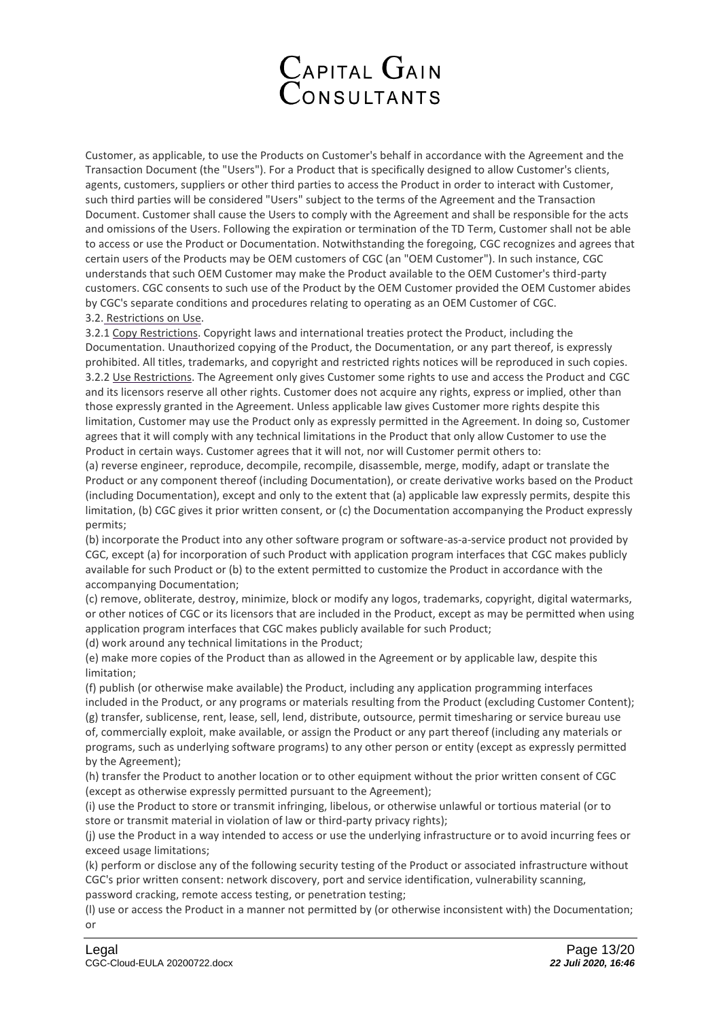

Customer, as applicable, to use the Products on Customer's behalf in accordance with the Agreement and the Transaction Document (the "Users"). For a Product that is specifically designed to allow Customer's clients, agents, customers, suppliers or other third parties to access the Product in order to interact with Customer, such third parties will be considered "Users" subject to the terms of the Agreement and the Transaction Document. Customer shall cause the Users to comply with the Agreement and shall be responsible for the acts and omissions of the Users. Following the expiration or termination of the TD Term, Customer shall not be able to access or use the Product or Documentation. Notwithstanding the foregoing, CGC recognizes and agrees that certain users of the Products may be OEM customers of CGC (an "OEM Customer"). In such instance, CGC understands that such OEM Customer may make the Product available to the OEM Customer's third-party customers. CGC consents to such use of the Product by the OEM Customer provided the OEM Customer abides by CGC's separate conditions and procedures relating to operating as an OEM Customer of CGC. 3.2. Restrictions on Use.

3.2.1 Copy Restrictions. Copyright laws and international treaties protect the Product, including the Documentation. Unauthorized copying of the Product, the Documentation, or any part thereof, is expressly prohibited. All titles, trademarks, and copyright and restricted rights notices will be reproduced in such copies. 3.2.2 Use Restrictions. The Agreement only gives Customer some rights to use and access the Product and CGC and its licensors reserve all other rights. Customer does not acquire any rights, express or implied, other than those expressly granted in the Agreement. Unless applicable law gives Customer more rights despite this limitation, Customer may use the Product only as expressly permitted in the Agreement. In doing so, Customer agrees that it will comply with any technical limitations in the Product that only allow Customer to use the Product in certain ways. Customer agrees that it will not, nor will Customer permit others to:

(a) reverse engineer, reproduce, decompile, recompile, disassemble, merge, modify, adapt or translate the Product or any component thereof (including Documentation), or create derivative works based on the Product (including Documentation), except and only to the extent that (a) applicable law expressly permits, despite this limitation, (b) CGC gives it prior written consent, or (c) the Documentation accompanying the Product expressly permits;

(b) incorporate the Product into any other software program or software-as-a-service product not provided by CGC, except (a) for incorporation of such Product with application program interfaces that CGC makes publicly available for such Product or (b) to the extent permitted to customize the Product in accordance with the accompanying Documentation;

(c) remove, obliterate, destroy, minimize, block or modify any logos, trademarks, copyright, digital watermarks, or other notices of CGC or its licensors that are included in the Product, except as may be permitted when using application program interfaces that CGC makes publicly available for such Product;

(d) work around any technical limitations in the Product;

(e) make more copies of the Product than as allowed in the Agreement or by applicable law, despite this limitation;

(f) publish (or otherwise make available) the Product, including any application programming interfaces included in the Product, or any programs or materials resulting from the Product (excluding Customer Content); (g) transfer, sublicense, rent, lease, sell, lend, distribute, outsource, permit timesharing or service bureau use of, commercially exploit, make available, or assign the Product or any part thereof (including any materials or

programs, such as underlying software programs) to any other person or entity (except as expressly permitted by the Agreement);

(h) transfer the Product to another location or to other equipment without the prior written consent of CGC (except as otherwise expressly permitted pursuant to the Agreement);

(i) use the Product to store or transmit infringing, libelous, or otherwise unlawful or tortious material (or to store or transmit material in violation of law or third-party privacy rights);

(j) use the Product in a way intended to access or use the underlying infrastructure or to avoid incurring fees or exceed usage limitations;

(k) perform or disclose any of the following security testing of the Product or associated infrastructure without CGC's prior written consent: network discovery, port and service identification, vulnerability scanning,

password cracking, remote access testing, or penetration testing;

(l) use or access the Product in a manner not permitted by (or otherwise inconsistent with) the Documentation; or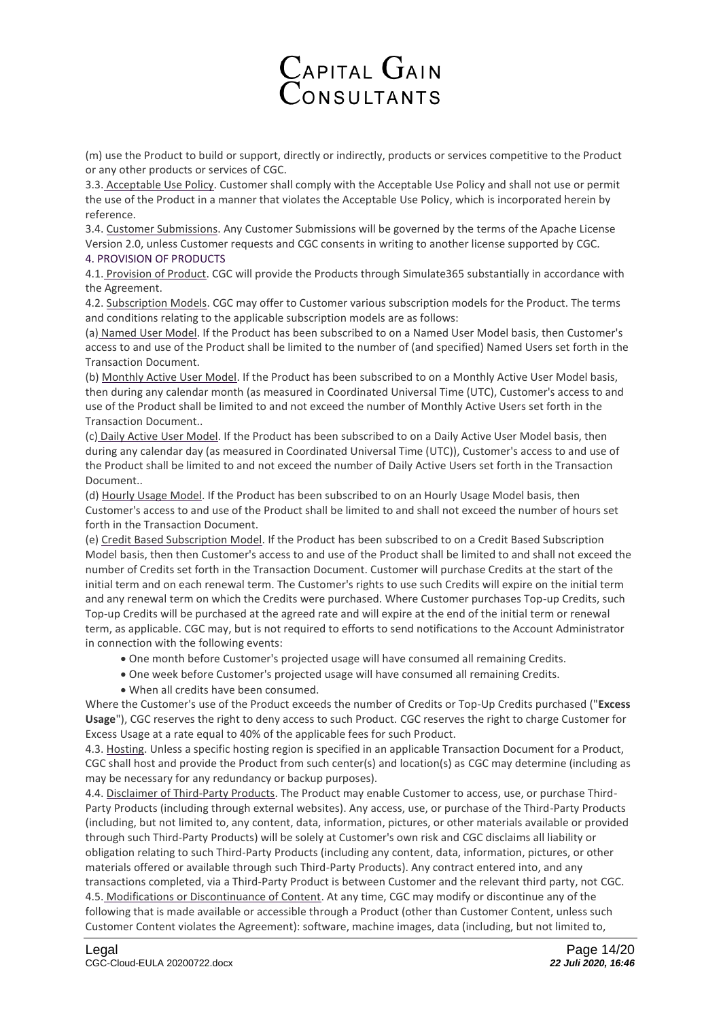# Capital Gain<br>Consultants

(m) use the Product to build or support, directly or indirectly, products or services competitive to the Product or any other products or services of CGC.

3.3. Acceptable Use Policy. Customer shall comply with the Acceptable Use Policy and shall not use or permit the use of the Product in a manner that violates the Acceptable Use Policy, which is incorporated herein by reference.

3.4. Customer Submissions. Any Customer Submissions will be governed by the terms of the Apache License Version 2.0, unless Customer requests and CGC consents in writing to another license supported by CGC. 4. PROVISION OF PRODUCTS

4.1. Provision of Product. CGC will provide the Products through Simulate365 substantially in accordance with the Agreement.

4.2. Subscription Models. CGC may offer to Customer various subscription models for the Product. The terms and conditions relating to the applicable subscription models are as follows:

(a) Named User Model. If the Product has been subscribed to on a Named User Model basis, then Customer's access to and use of the Product shall be limited to the number of (and specified) Named Users set forth in the Transaction Document.

(b) Monthly Active User Model. If the Product has been subscribed to on a Monthly Active User Model basis, then during any calendar month (as measured in Coordinated Universal Time (UTC), Customer's access to and use of the Product shall be limited to and not exceed the number of Monthly Active Users set forth in the Transaction Document..

(c) Daily Active User Model. If the Product has been subscribed to on a Daily Active User Model basis, then during any calendar day (as measured in Coordinated Universal Time (UTC)), Customer's access to and use of the Product shall be limited to and not exceed the number of Daily Active Users set forth in the Transaction Document..

(d) Hourly Usage Model. If the Product has been subscribed to on an Hourly Usage Model basis, then Customer's access to and use of the Product shall be limited to and shall not exceed the number of hours set forth in the Transaction Document.

(e) Credit Based Subscription Model. If the Product has been subscribed to on a Credit Based Subscription Model basis, then then Customer's access to and use of the Product shall be limited to and shall not exceed the number of Credits set forth in the Transaction Document. Customer will purchase Credits at the start of the initial term and on each renewal term. The Customer's rights to use such Credits will expire on the initial term and any renewal term on which the Credits were purchased. Where Customer purchases Top-up Credits, such Top-up Credits will be purchased at the agreed rate and will expire at the end of the initial term or renewal term, as applicable. CGC may, but is not required to efforts to send notifications to the Account Administrator in connection with the following events:

- One month before Customer's projected usage will have consumed all remaining Credits.
- One week before Customer's projected usage will have consumed all remaining Credits.
- When all credits have been consumed.

Where the Customer's use of the Product exceeds the number of Credits or Top-Up Credits purchased ("**Excess Usage**"), CGC reserves the right to deny access to such Product. CGC reserves the right to charge Customer for Excess Usage at a rate equal to 40% of the applicable fees for such Product.

4.3. Hosting. Unless a specific hosting region is specified in an applicable Transaction Document for a Product, CGC shall host and provide the Product from such center(s) and location(s) as CGC may determine (including as may be necessary for any redundancy or backup purposes).

4.4. Disclaimer of Third-Party Products. The Product may enable Customer to access, use, or purchase Third-Party Products (including through external websites). Any access, use, or purchase of the Third-Party Products (including, but not limited to, any content, data, information, pictures, or other materials available or provided through such Third-Party Products) will be solely at Customer's own risk and CGC disclaims all liability or obligation relating to such Third-Party Products (including any content, data, information, pictures, or other materials offered or available through such Third-Party Products). Any contract entered into, and any transactions completed, via a Third-Party Product is between Customer and the relevant third party, not CGC. 4.5. Modifications or Discontinuance of Content. At any time, CGC may modify or discontinue any of the following that is made available or accessible through a Product (other than Customer Content, unless such Customer Content violates the Agreement): software, machine images, data (including, but not limited to,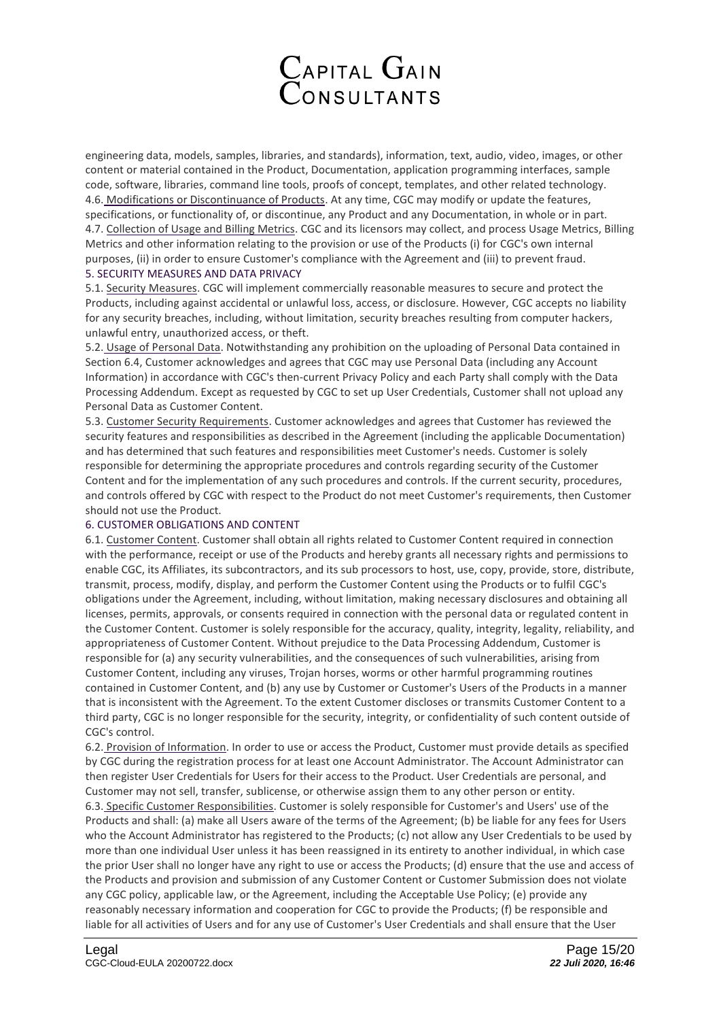

engineering data, models, samples, libraries, and standards), information, text, audio, video, images, or other content or material contained in the Product, Documentation, application programming interfaces, sample code, software, libraries, command line tools, proofs of concept, templates, and other related technology. 4.6. Modifications or Discontinuance of Products. At any time, CGC may modify or update the features, specifications, or functionality of, or discontinue, any Product and any Documentation, in whole or in part. 4.7. Collection of Usage and Billing Metrics. CGC and its licensors may collect, and process Usage Metrics, Billing Metrics and other information relating to the provision or use of the Products (i) for CGC's own internal purposes, (ii) in order to ensure Customer's compliance with the Agreement and (iii) to prevent fraud. 5. SECURITY MEASURES AND DATA PRIVACY

5.1. Security Measures. CGC will implement commercially reasonable measures to secure and protect the Products, including against accidental or unlawful loss, access, or disclosure. However, CGC accepts no liability for any security breaches, including, without limitation, security breaches resulting from computer hackers, unlawful entry, unauthorized access, or theft.

5.2. Usage of Personal Data. Notwithstanding any prohibition on the uploading of Personal Data contained in Section 6.4, Customer acknowledges and agrees that CGC may use Personal Data (including any Account Information) in accordance with CGC's then-current Privacy Policy and each Party shall comply with the Data Processing Addendum. Except as requested by CGC to set up User Credentials, Customer shall not upload any Personal Data as Customer Content.

5.3. Customer Security Requirements. Customer acknowledges and agrees that Customer has reviewed the security features and responsibilities as described in the Agreement (including the applicable Documentation) and has determined that such features and responsibilities meet Customer's needs. Customer is solely responsible for determining the appropriate procedures and controls regarding security of the Customer Content and for the implementation of any such procedures and controls. If the current security, procedures, and controls offered by CGC with respect to the Product do not meet Customer's requirements, then Customer should not use the Product.

### 6. CUSTOMER OBLIGATIONS AND CONTENT

6.1. Customer Content. Customer shall obtain all rights related to Customer Content required in connection with the performance, receipt or use of the Products and hereby grants all necessary rights and permissions to enable CGC, its Affiliates, its subcontractors, and its sub processors to host, use, copy, provide, store, distribute, transmit, process, modify, display, and perform the Customer Content using the Products or to fulfil CGC's obligations under the Agreement, including, without limitation, making necessary disclosures and obtaining all licenses, permits, approvals, or consents required in connection with the personal data or regulated content in the Customer Content. Customer is solely responsible for the accuracy, quality, integrity, legality, reliability, and appropriateness of Customer Content. Without prejudice to the Data Processing Addendum, Customer is responsible for (a) any security vulnerabilities, and the consequences of such vulnerabilities, arising from Customer Content, including any viruses, Trojan horses, worms or other harmful programming routines contained in Customer Content, and (b) any use by Customer or Customer's Users of the Products in a manner that is inconsistent with the Agreement. To the extent Customer discloses or transmits Customer Content to a third party, CGC is no longer responsible for the security, integrity, or confidentiality of such content outside of CGC's control.

6.2. Provision of Information. In order to use or access the Product, Customer must provide details as specified by CGC during the registration process for at least one Account Administrator. The Account Administrator can then register User Credentials for Users for their access to the Product. User Credentials are personal, and Customer may not sell, transfer, sublicense, or otherwise assign them to any other person or entity. 6.3. Specific Customer Responsibilities. Customer is solely responsible for Customer's and Users' use of the Products and shall: (a) make all Users aware of the terms of the Agreement; (b) be liable for any fees for Users who the Account Administrator has registered to the Products; (c) not allow any User Credentials to be used by more than one individual User unless it has been reassigned in its entirety to another individual, in which case the prior User shall no longer have any right to use or access the Products; (d) ensure that the use and access of the Products and provision and submission of any Customer Content or Customer Submission does not violate any CGC policy, applicable law, or the Agreement, including the Acceptable Use Policy; (e) provide any reasonably necessary information and cooperation for CGC to provide the Products; (f) be responsible and liable for all activities of Users and for any use of Customer's User Credentials and shall ensure that the User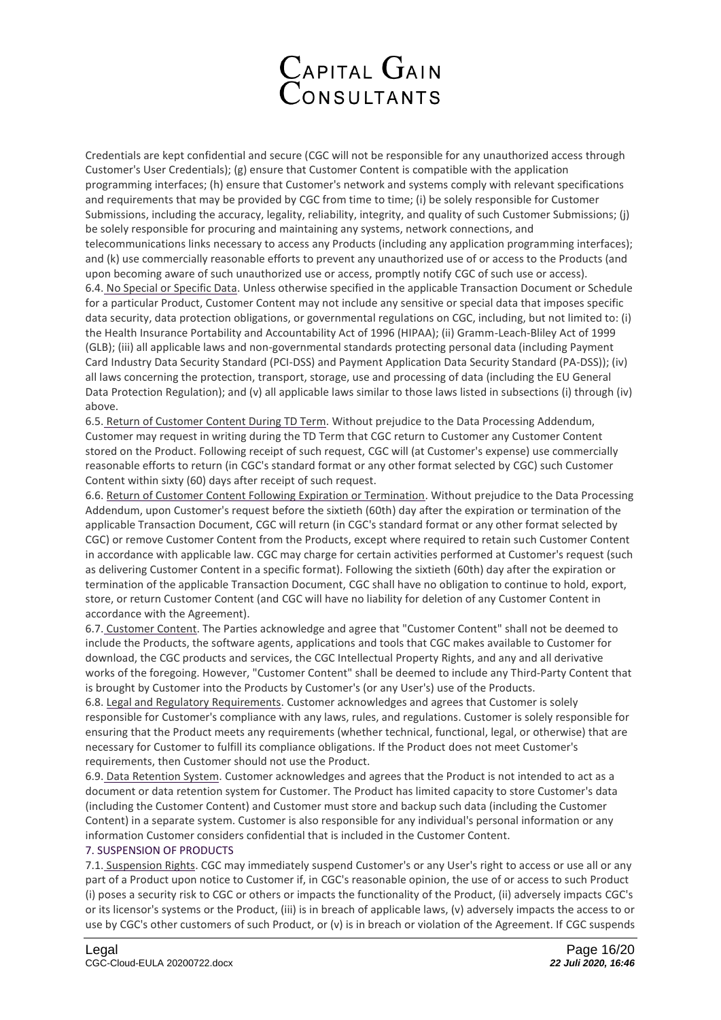

Credentials are kept confidential and secure (CGC will not be responsible for any unauthorized access through Customer's User Credentials); (g) ensure that Customer Content is compatible with the application programming interfaces; (h) ensure that Customer's network and systems comply with relevant specifications and requirements that may be provided by CGC from time to time; (i) be solely responsible for Customer Submissions, including the accuracy, legality, reliability, integrity, and quality of such Customer Submissions; (j) be solely responsible for procuring and maintaining any systems, network connections, and telecommunications links necessary to access any Products (including any application programming interfaces); and (k) use commercially reasonable efforts to prevent any unauthorized use of or access to the Products (and upon becoming aware of such unauthorized use or access, promptly notify CGC of such use or access). 6.4. No Special or Specific Data. Unless otherwise specified in the applicable Transaction Document or Schedule for a particular Product, Customer Content may not include any sensitive or special data that imposes specific data security, data protection obligations, or governmental regulations on CGC, including, but not limited to: (i) the Health Insurance Portability and Accountability Act of 1996 (HIPAA); (ii) Gramm-Leach-Bliley Act of 1999 (GLB); (iii) all applicable laws and non-governmental standards protecting personal data (including Payment Card Industry Data Security Standard (PCI-DSS) and Payment Application Data Security Standard (PA-DSS)); (iv) all laws concerning the protection, transport, storage, use and processing of data (including the EU General Data Protection Regulation); and (v) all applicable laws similar to those laws listed in subsections (i) through (iv) above.

6.5. Return of Customer Content During TD Term. Without prejudice to the Data Processing Addendum, Customer may request in writing during the TD Term that CGC return to Customer any Customer Content stored on the Product. Following receipt of such request, CGC will (at Customer's expense) use commercially reasonable efforts to return (in CGC's standard format or any other format selected by CGC) such Customer Content within sixty (60) days after receipt of such request.

6.6. Return of Customer Content Following Expiration or Termination. Without prejudice to the Data Processing Addendum, upon Customer's request before the sixtieth (60th) day after the expiration or termination of the applicable Transaction Document, CGC will return (in CGC's standard format or any other format selected by CGC) or remove Customer Content from the Products, except where required to retain such Customer Content in accordance with applicable law. CGC may charge for certain activities performed at Customer's request (such as delivering Customer Content in a specific format). Following the sixtieth (60th) day after the expiration or termination of the applicable Transaction Document, CGC shall have no obligation to continue to hold, export, store, or return Customer Content (and CGC will have no liability for deletion of any Customer Content in accordance with the Agreement).

6.7. Customer Content. The Parties acknowledge and agree that "Customer Content" shall not be deemed to include the Products, the software agents, applications and tools that CGC makes available to Customer for download, the CGC products and services, the CGC Intellectual Property Rights, and any and all derivative works of the foregoing. However, "Customer Content" shall be deemed to include any Third-Party Content that is brought by Customer into the Products by Customer's (or any User's) use of the Products.

6.8. Legal and Regulatory Requirements. Customer acknowledges and agrees that Customer is solely responsible for Customer's compliance with any laws, rules, and regulations. Customer is solely responsible for ensuring that the Product meets any requirements (whether technical, functional, legal, or otherwise) that are necessary for Customer to fulfill its compliance obligations. If the Product does not meet Customer's requirements, then Customer should not use the Product.

6.9. Data Retention System. Customer acknowledges and agrees that the Product is not intended to act as a document or data retention system for Customer. The Product has limited capacity to store Customer's data (including the Customer Content) and Customer must store and backup such data (including the Customer Content) in a separate system. Customer is also responsible for any individual's personal information or any information Customer considers confidential that is included in the Customer Content.

### 7. SUSPENSION OF PRODUCTS

7.1. Suspension Rights. CGC may immediately suspend Customer's or any User's right to access or use all or any part of a Product upon notice to Customer if, in CGC's reasonable opinion, the use of or access to such Product (i) poses a security risk to CGC or others or impacts the functionality of the Product, (ii) adversely impacts CGC's or its licensor's systems or the Product, (iii) is in breach of applicable laws, (v) adversely impacts the access to or use by CGC's other customers of such Product, or (v) is in breach or violation of the Agreement. If CGC suspends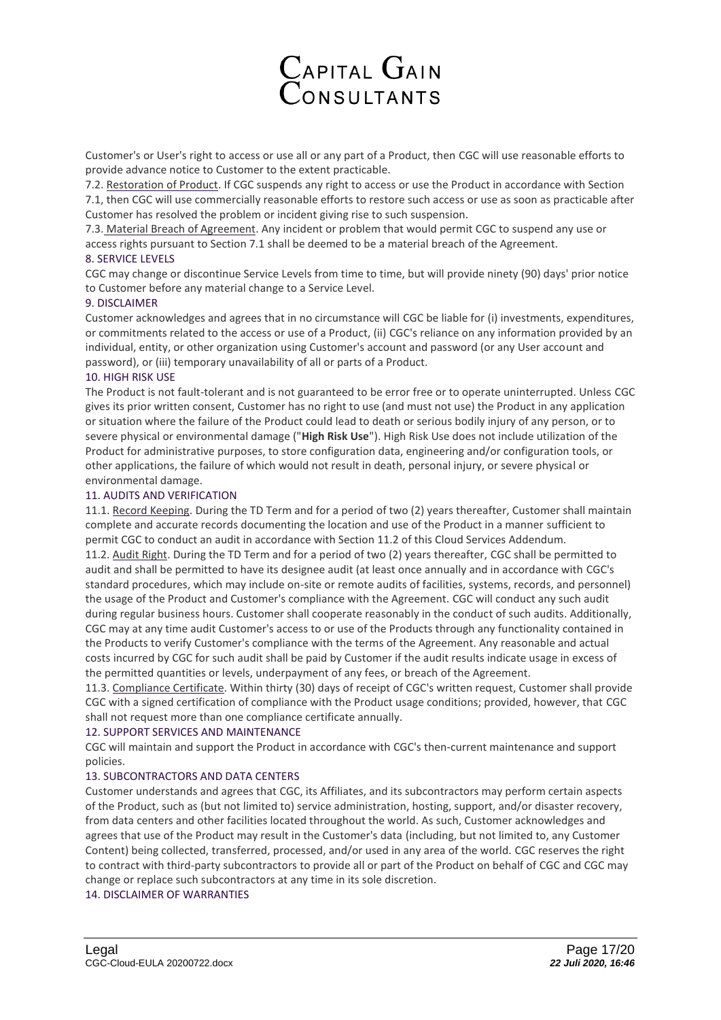

Customer's or User's right to access or use all or any part of a Product, then CGC will use reasonable efforts to provide advance notice to Customer to the extent practicable.

7.2. Restoration of Product. If CGC suspends any right to access or use the Product in accordance with Section 7.1, then CGC will use commercially reasonable efforts to restore such access or use as soon as practicable after Customer has resolved the problem or incident giving rise to such suspension.

7.3. Material Breach of Agreement. Any incident or problem that would permit CGC to suspend any use or access rights pursuant to Section 7.1 shall be deemed to be a material breach of the Agreement.

# 8. SERVICE LEVELS

CGC may change or discontinue Service Levels from time to time, but will provide ninety (90) days' prior notice to Customer before any material change to a Service Level.

# 9. DISCLAIMER

Customer acknowledges and agrees that in no circumstance will CGC be liable for (i) investments, expenditures, or commitments related to the access or use of a Product, (ii) CGC's reliance on any information provided by an individual, entity, or other organization using Customer's account and password (or any User account and password), or (iii) temporary unavailability of all or parts of a Product.

### 10. HIGH RISK USE

The Product is not fault-tolerant and is not guaranteed to be error free or to operate uninterrupted. Unless CGC gives its prior written consent, Customer has no right to use (and must not use) the Product in any application or situation where the failure of the Product could lead to death or serious bodily injury of any person, or to severe physical or environmental damage ("**High Risk Use**"). High Risk Use does not include utilization of the Product for administrative purposes, to store configuration data, engineering and/or configuration tools, or other applications, the failure of which would not result in death, personal injury, or severe physical or environmental damage.

# 11. AUDITS AND VERIFICATION

11.1. Record Keeping. During the TD Term and for a period of two (2) years thereafter, Customer shall maintain complete and accurate records documenting the location and use of the Product in a manner sufficient to permit CGC to conduct an audit in accordance with Section 11.2 of this Cloud Services Addendum. 11.2. Audit Right. During the TD Term and for a period of two (2) years thereafter, CGC shall be permitted to audit and shall be permitted to have its designee audit (at least once annually and in accordance with CGC's standard procedures, which may include on-site or remote audits of facilities, systems, records, and personnel) the usage of the Product and Customer's compliance with the Agreement. CGC will conduct any such audit during regular business hours. Customer shall cooperate reasonably in the conduct of such audits. Additionally, CGC may at any time audit Customer's access to or use of the Products through any functionality contained in the Products to verify Customer's compliance with the terms of the Agreement. Any reasonable and actual costs incurred by CGC for such audit shall be paid by Customer if the audit results indicate usage in excess of the permitted quantities or levels, underpayment of any fees, or breach of the Agreement.

11.3. Compliance Certificate. Within thirty (30) days of receipt of CGC's written request, Customer shall provide CGC with a signed certification of compliance with the Product usage conditions; provided, however, that CGC shall not request more than one compliance certificate annually.

### 12. SUPPORT SERVICES AND MAINTENANCE

CGC will maintain and support the Product in accordance with CGC's then-current maintenance and support policies.

### 13. SUBCONTRACTORS AND DATA CENTERS

Customer understands and agrees that CGC, its Affiliates, and its subcontractors may perform certain aspects of the Product, such as (but not limited to) service administration, hosting, support, and/or disaster recovery, from data centers and other facilities located throughout the world. As such, Customer acknowledges and agrees that use of the Product may result in the Customer's data (including, but not limited to, any Customer Content) being collected, transferred, processed, and/or used in any area of the world. CGC reserves the right to contract with third-party subcontractors to provide all or part of the Product on behalf of CGC and CGC may change or replace such subcontractors at any time in its sole discretion.

14. DISCLAIMER OF WARRANTIES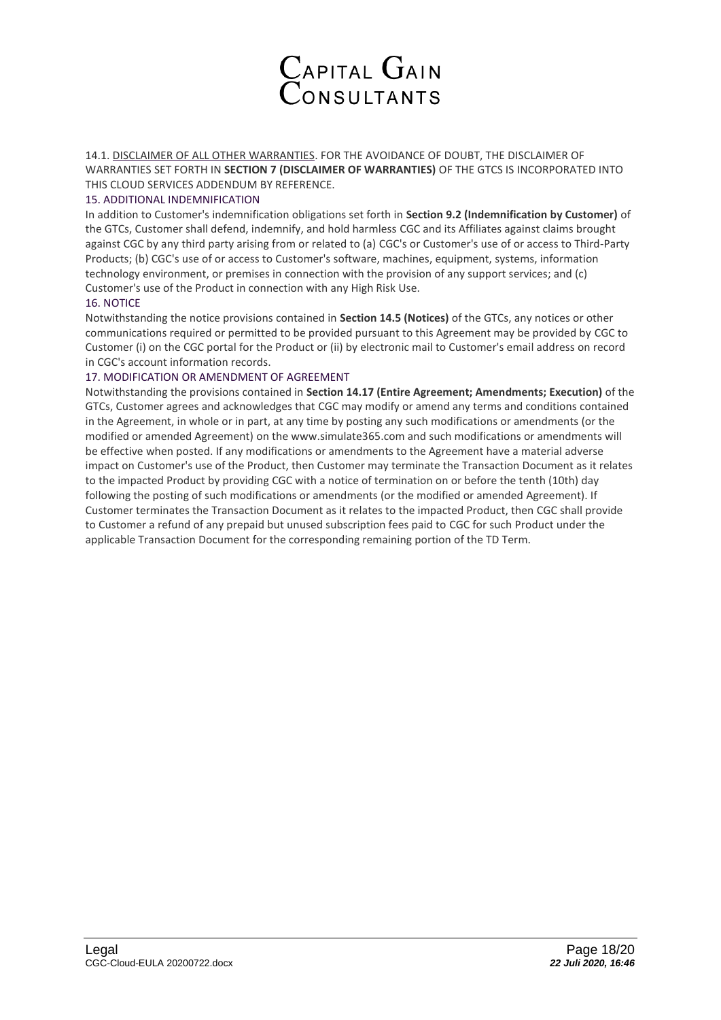

14.1. DISCLAIMER OF ALL OTHER WARRANTIES. FOR THE AVOIDANCE OF DOUBT, THE DISCLAIMER OF WARRANTIES SET FORTH IN **SECTION 7 (DISCLAIMER OF WARRANTIES)** OF THE GTCS IS INCORPORATED INTO THIS CLOUD SERVICES ADDENDUM BY REFERENCE.

## 15. ADDITIONAL INDEMNIFICATION

In addition to Customer's indemnification obligations set forth in **Section 9.2 (Indemnification by Customer)** of the GTCs, Customer shall defend, indemnify, and hold harmless CGC and its Affiliates against claims brought against CGC by any third party arising from or related to (a) CGC's or Customer's use of or access to Third-Party Products; (b) CGC's use of or access to Customer's software, machines, equipment, systems, information technology environment, or premises in connection with the provision of any support services; and (c) Customer's use of the Product in connection with any High Risk Use.

# 16. NOTICE

Notwithstanding the notice provisions contained in **Section 14.5 (Notices)** of the GTCs, any notices or other communications required or permitted to be provided pursuant to this Agreement may be provided by CGC to Customer (i) on the CGC portal for the Product or (ii) by electronic mail to Customer's email address on record in CGC's account information records.

# 17. MODIFICATION OR AMENDMENT OF AGREEMENT

Notwithstanding the provisions contained in **Section 14.17 (Entire Agreement; Amendments; Execution)** of the GTCs, Customer agrees and acknowledges that CGC may modify or amend any terms and conditions contained in the Agreement, in whole or in part, at any time by posting any such modifications or amendments (or the modified or amended Agreement) on the www.simulate365.com and such modifications or amendments will be effective when posted. If any modifications or amendments to the Agreement have a material adverse impact on Customer's use of the Product, then Customer may terminate the Transaction Document as it relates to the impacted Product by providing CGC with a notice of termination on or before the tenth (10th) day following the posting of such modifications or amendments (or the modified or amended Agreement). If Customer terminates the Transaction Document as it relates to the impacted Product, then CGC shall provide to Customer a refund of any prepaid but unused subscription fees paid to CGC for such Product under the applicable Transaction Document for the corresponding remaining portion of the TD Term.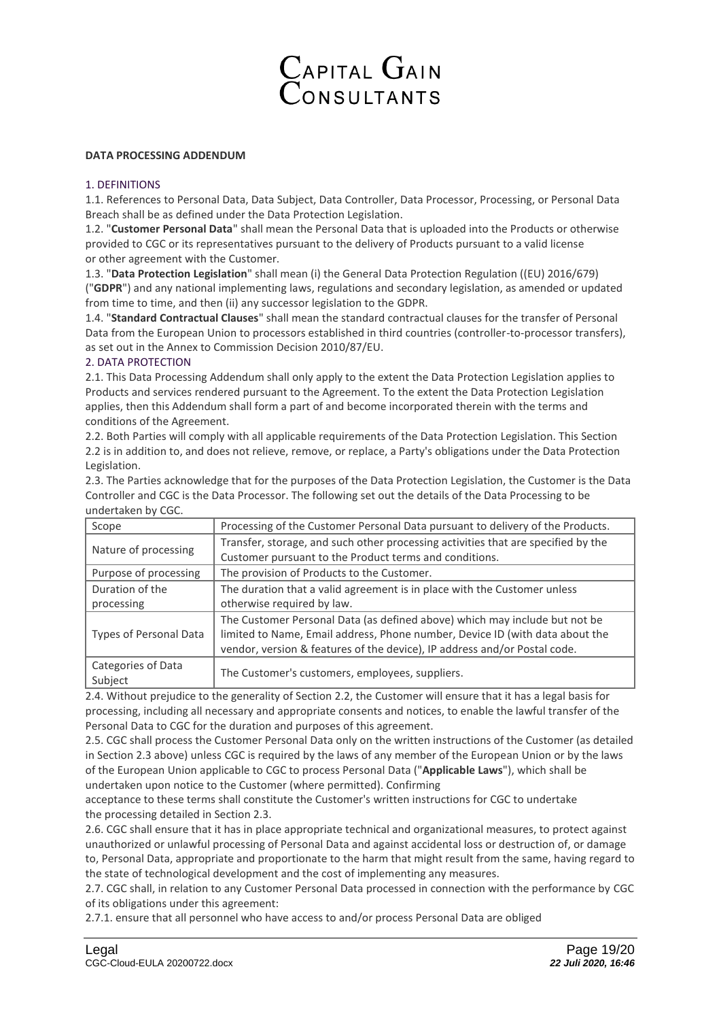

# **DATA PROCESSING ADDENDUM**

#### 1. DEFINITIONS

1.1. References to Personal Data, Data Subject, Data Controller, Data Processor, Processing, or Personal Data Breach shall be as defined under the Data Protection Legislation.

1.2. "**Customer Personal Data**" shall mean the Personal Data that is uploaded into the Products or otherwise provided to CGC or its representatives pursuant to the delivery of Products pursuant to a valid license or other agreement with the Customer.

1.3. "**Data Protection Legislation**" shall mean (i) the General Data Protection Regulation ((EU) 2016/679) ("**GDPR**") and any national implementing laws, regulations and secondary legislation, as amended or updated from time to time, and then (ii) any successor legislation to the GDPR.

1.4. "**Standard Contractual Clauses**" shall mean the standard contractual clauses for the transfer of Personal Data from the European Union to processors established in third countries (controller-to-processor transfers), as set out in the Annex to Commission Decision 2010/87/EU.

### 2. DATA PROTECTION

2.1. This Data Processing Addendum shall only apply to the extent the Data Protection Legislation applies to Products and services rendered pursuant to the Agreement. To the extent the Data Protection Legislation applies, then this Addendum shall form a part of and become incorporated therein with the terms and conditions of the Agreement.

2.2. Both Parties will comply with all applicable requirements of the Data Protection Legislation. This Section 2.2 is in addition to, and does not relieve, remove, or replace, a Party's obligations under the Data Protection Legislation.

2.3. The Parties acknowledge that for the purposes of the Data Protection Legislation, the Customer is the Data Controller and CGC is the Data Processor. The following set out the details of the Data Processing to be undertaken by CGC.

| Scope                  | Processing of the Customer Personal Data pursuant to delivery of the Products.    |
|------------------------|-----------------------------------------------------------------------------------|
| Nature of processing   | Transfer, storage, and such other processing activities that are specified by the |
|                        | Customer pursuant to the Product terms and conditions.                            |
| Purpose of processing  | The provision of Products to the Customer.                                        |
| Duration of the        | The duration that a valid agreement is in place with the Customer unless          |
| processing             | otherwise required by law.                                                        |
| Types of Personal Data | The Customer Personal Data (as defined above) which may include but not be        |
|                        | limited to Name, Email address, Phone number, Device ID (with data about the      |
|                        | vendor, version & features of the device), IP address and/or Postal code.         |
| Categories of Data     | The Customer's customers, employees, suppliers.                                   |
| Subject                |                                                                                   |

2.4. Without prejudice to the generality of Section 2.2, the Customer will ensure that it has a legal basis for processing, including all necessary and appropriate consents and notices, to enable the lawful transfer of the Personal Data to CGC for the duration and purposes of this agreement.

2.5. CGC shall process the Customer Personal Data only on the written instructions of the Customer (as detailed in Section 2.3 above) unless CGC is required by the laws of any member of the European Union or by the laws of the European Union applicable to CGC to process Personal Data ("**Applicable Laws**"), which shall be undertaken upon notice to the Customer (where permitted). Confirming

acceptance to these terms shall constitute the Customer's written instructions for CGC to undertake the processing detailed in Section 2.3.

2.6. CGC shall ensure that it has in place appropriate technical and organizational measures, to protect against unauthorized or unlawful processing of Personal Data and against accidental loss or destruction of, or damage to, Personal Data, appropriate and proportionate to the harm that might result from the same, having regard to the state of technological development and the cost of implementing any measures.

2.7. CGC shall, in relation to any Customer Personal Data processed in connection with the performance by CGC of its obligations under this agreement:

2.7.1. ensure that all personnel who have access to and/or process Personal Data are obliged